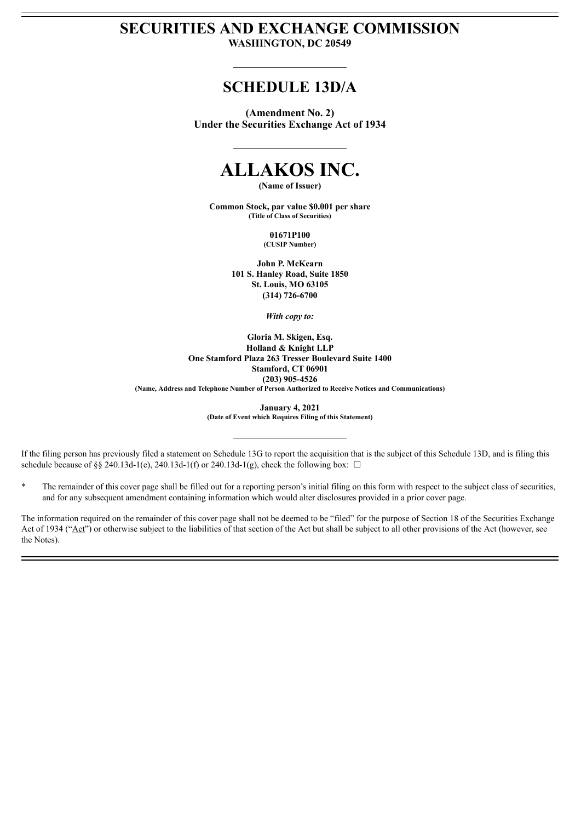# **SECURITIES AND EXCHANGE COMMISSION WASHINGTON, DC 20549**

# **SCHEDULE 13D/A**

**(Amendment No. 2) Under the Securities Exchange Act of 1934**

# **ALLAKOS INC.**

**(Name of Issuer)**

**Common Stock, par value \$0.001 per share (Title of Class of Securities)**

> **01671P100 (CUSIP Number)**

**John P. McKearn 101 S. Hanley Road, Suite 1850 St. Louis, MO 63105 (314) 726-6700**

*With copy to:*

**Gloria M. Skigen, Esq. Holland & Knight LLP One Stamford Plaza 263 Tresser Boulevard Suite 1400 Stamford, CT 06901 (203) 905-4526 (Name, Address and Telephone Number of Person Authorized to Receive Notices and Communications)**

> **January 4, 2021 (Date of Event which Requires Filing of this Statement)**

If the filing person has previously filed a statement on Schedule 13G to report the acquisition that is the subject of this Schedule 13D, and is filing this schedule because of §§ 240.13d-1(e), 240.13d-1(f) or 240.13d-1(g), check the following box:  $\Box$ 

\* The remainder of this cover page shall be filled out for a reporting person's initial filing on this form with respect to the subject class of securities, and for any subsequent amendment containing information which would alter disclosures provided in a prior cover page.

The information required on the remainder of this cover page shall not be deemed to be "filed" for the purpose of Section 18 of the Securities Exchange Act of 1934 ("Act") or otherwise subject to the liabilities of that section of the Act but shall be subject to all other provisions of the Act (however, see the Notes).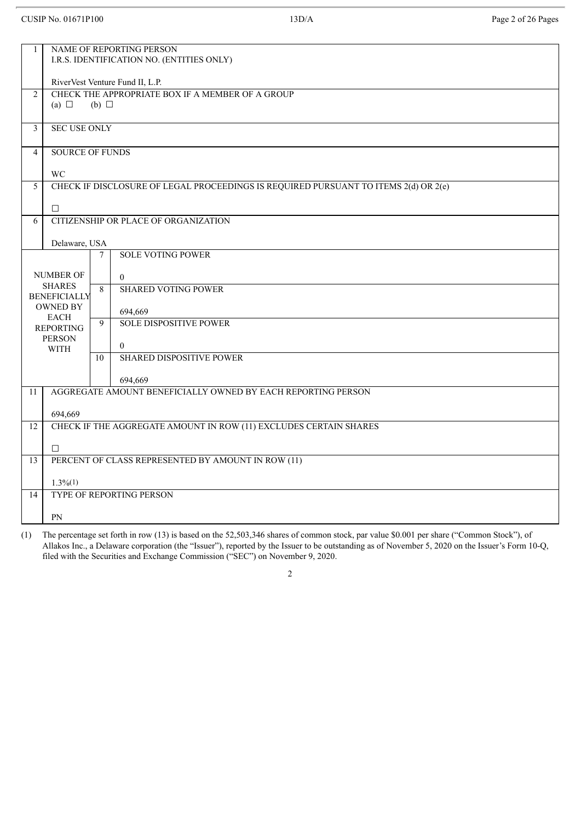# CUSIP No. 01671P100 13D/A Page 2 of 26 Pages

| $\mathbf{1}$            | NAME OF REPORTING PERSON<br>I.R.S. IDENTIFICATION NO. (ENTITIES ONLY) |                                                  |                                                                                     |  |  |  |  |  |
|-------------------------|-----------------------------------------------------------------------|--------------------------------------------------|-------------------------------------------------------------------------------------|--|--|--|--|--|
|                         | RiverVest Venture Fund II, L.P.                                       |                                                  |                                                                                     |  |  |  |  |  |
| 2                       |                                                                       | CHECK THE APPROPRIATE BOX IF A MEMBER OF A GROUP |                                                                                     |  |  |  |  |  |
|                         | (a) $\Box$                                                            | $(b)$ $\square$                                  |                                                                                     |  |  |  |  |  |
| $\overline{\mathbf{3}}$ | <b>SEC USE ONLY</b>                                                   |                                                  |                                                                                     |  |  |  |  |  |
| $\overline{4}$          | <b>SOURCE OF FUNDS</b>                                                |                                                  |                                                                                     |  |  |  |  |  |
|                         | <b>WC</b>                                                             |                                                  |                                                                                     |  |  |  |  |  |
| 5                       |                                                                       |                                                  | CHECK IF DISCLOSURE OF LEGAL PROCEEDINGS IS REQUIRED PURSUANT TO ITEMS 2(d) OR 2(e) |  |  |  |  |  |
|                         | $\Box$                                                                |                                                  |                                                                                     |  |  |  |  |  |
| 6                       |                                                                       |                                                  | CITIZENSHIP OR PLACE OF ORGANIZATION                                                |  |  |  |  |  |
|                         | Delaware, USA                                                         |                                                  |                                                                                     |  |  |  |  |  |
|                         |                                                                       | 7                                                | <b>SOLE VOTING POWER</b>                                                            |  |  |  |  |  |
|                         | <b>NUMBER OF</b><br><b>SHARES</b>                                     |                                                  | $\overline{0}$                                                                      |  |  |  |  |  |
|                         | <b>BENEFICIALLY</b>                                                   | 8                                                | <b>SHARED VOTING POWER</b>                                                          |  |  |  |  |  |
|                         | <b>OWNED BY</b><br><b>EACH</b>                                        | $\overline{9}$                                   | 694,669                                                                             |  |  |  |  |  |
|                         | <b>REPORTING</b><br><b>PERSON</b>                                     |                                                  | <b>SOLE DISPOSITIVE POWER</b>                                                       |  |  |  |  |  |
|                         | <b>WITH</b>                                                           |                                                  | $\theta$<br><b>SHARED DISPOSITIVE POWER</b>                                         |  |  |  |  |  |
|                         |                                                                       | 10                                               |                                                                                     |  |  |  |  |  |
| 11                      |                                                                       |                                                  | 694,669<br>AGGREGATE AMOUNT BENEFICIALLY OWNED BY EACH REPORTING PERSON             |  |  |  |  |  |
|                         |                                                                       |                                                  |                                                                                     |  |  |  |  |  |
| 12                      | 694,669                                                               |                                                  | CHECK IF THE AGGREGATE AMOUNT IN ROW (11) EXCLUDES CERTAIN SHARES                   |  |  |  |  |  |
|                         |                                                                       |                                                  |                                                                                     |  |  |  |  |  |
| 13                      | $\Box$<br>PERCENT OF CLASS REPRESENTED BY AMOUNT IN ROW (11)          |                                                  |                                                                                     |  |  |  |  |  |
|                         |                                                                       |                                                  |                                                                                     |  |  |  |  |  |
| 14                      | $1.3\%/1)$                                                            |                                                  | TYPE OF REPORTING PERSON                                                            |  |  |  |  |  |
|                         |                                                                       |                                                  |                                                                                     |  |  |  |  |  |
|                         | PN                                                                    |                                                  |                                                                                     |  |  |  |  |  |

(1) The percentage set forth in row (13) is based on the 52,503,346 shares of common stock, par value \$0.001 per share ("Common Stock"), of Allakos Inc., a Delaware corporation (the "Issuer"), reported by the Issuer to be outstanding as of November 5, 2020 on the Issuer's Form 10-Q, filed with the Securities and Exchange Commission ("SEC") on November 9, 2020.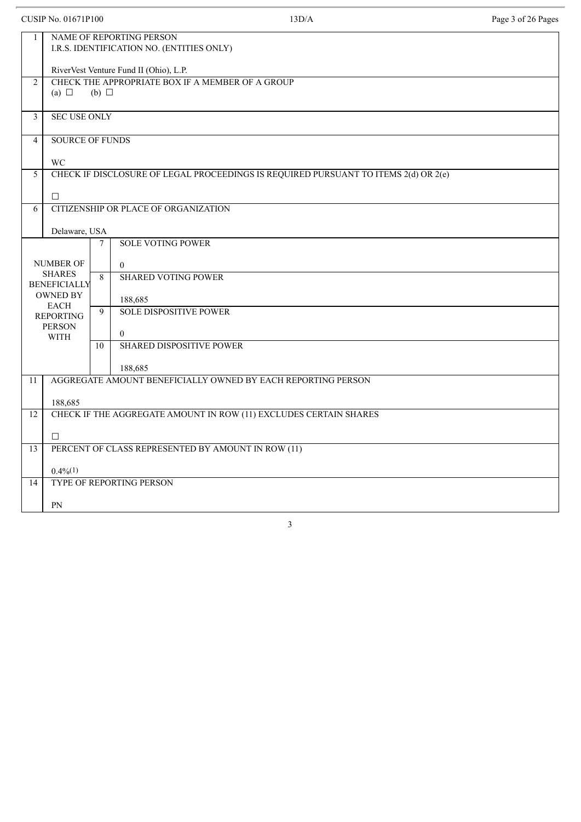|                | <b>CUSIP No. 01671P100</b>                                            |                 | 13D/A                                                                               | Page 3 of 26 Pages |  |  |  |  |
|----------------|-----------------------------------------------------------------------|-----------------|-------------------------------------------------------------------------------------|--------------------|--|--|--|--|
| 1              | NAME OF REPORTING PERSON<br>I.R.S. IDENTIFICATION NO. (ENTITIES ONLY) |                 |                                                                                     |                    |  |  |  |  |
|                | RiverVest Venture Fund II (Ohio), L.P.                                |                 |                                                                                     |                    |  |  |  |  |
| $\overline{2}$ | (a) $\Box$                                                            | $(b)$ $\square$ | CHECK THE APPROPRIATE BOX IF A MEMBER OF A GROUP                                    |                    |  |  |  |  |
| 3              | <b>SEC USE ONLY</b>                                                   |                 |                                                                                     |                    |  |  |  |  |
| $\overline{4}$ | <b>SOURCE OF FUNDS</b>                                                |                 |                                                                                     |                    |  |  |  |  |
|                | <b>WC</b>                                                             |                 |                                                                                     |                    |  |  |  |  |
| 5              |                                                                       |                 | CHECK IF DISCLOSURE OF LEGAL PROCEEDINGS IS REQUIRED PURSUANT TO ITEMS 2(d) OR 2(e) |                    |  |  |  |  |
|                | $\Box$                                                                |                 |                                                                                     |                    |  |  |  |  |
| 6              |                                                                       |                 | CITIZENSHIP OR PLACE OF ORGANIZATION                                                |                    |  |  |  |  |
|                | Delaware, USA                                                         |                 |                                                                                     |                    |  |  |  |  |
|                |                                                                       | $\tau$          | <b>SOLE VOTING POWER</b>                                                            |                    |  |  |  |  |
|                | <b>NUMBER OF</b>                                                      |                 | $\mathbf{0}$                                                                        |                    |  |  |  |  |
|                | <b>SHARES</b><br><b>BENEFICIALLY</b>                                  | 8               | <b>SHARED VOTING POWER</b>                                                          |                    |  |  |  |  |
|                | <b>OWNED BY</b><br><b>EACH</b>                                        |                 | 188,685                                                                             |                    |  |  |  |  |
|                | <b>REPORTING</b>                                                      | 9               | <b>SOLE DISPOSITIVE POWER</b>                                                       |                    |  |  |  |  |
|                | <b>PERSON</b><br><b>WITH</b>                                          |                 | $\overline{0}$                                                                      |                    |  |  |  |  |
|                |                                                                       | 10              | <b>SHARED DISPOSITIVE POWER</b>                                                     |                    |  |  |  |  |
|                |                                                                       |                 | 188,685                                                                             |                    |  |  |  |  |
| 11             |                                                                       |                 | AGGREGATE AMOUNT BENEFICIALLY OWNED BY EACH REPORTING PERSON                        |                    |  |  |  |  |
|                | 188,685                                                               |                 |                                                                                     |                    |  |  |  |  |
| 12             |                                                                       |                 | CHECK IF THE AGGREGATE AMOUNT IN ROW (11) EXCLUDES CERTAIN SHARES                   |                    |  |  |  |  |
|                | $\Box$                                                                |                 |                                                                                     |                    |  |  |  |  |
| 13             |                                                                       |                 | PERCENT OF CLASS REPRESENTED BY AMOUNT IN ROW (11)                                  |                    |  |  |  |  |
|                | $0.4\%/1)$                                                            |                 |                                                                                     |                    |  |  |  |  |
| 14             |                                                                       |                 | TYPE OF REPORTING PERSON                                                            |                    |  |  |  |  |
|                | PN                                                                    |                 |                                                                                     |                    |  |  |  |  |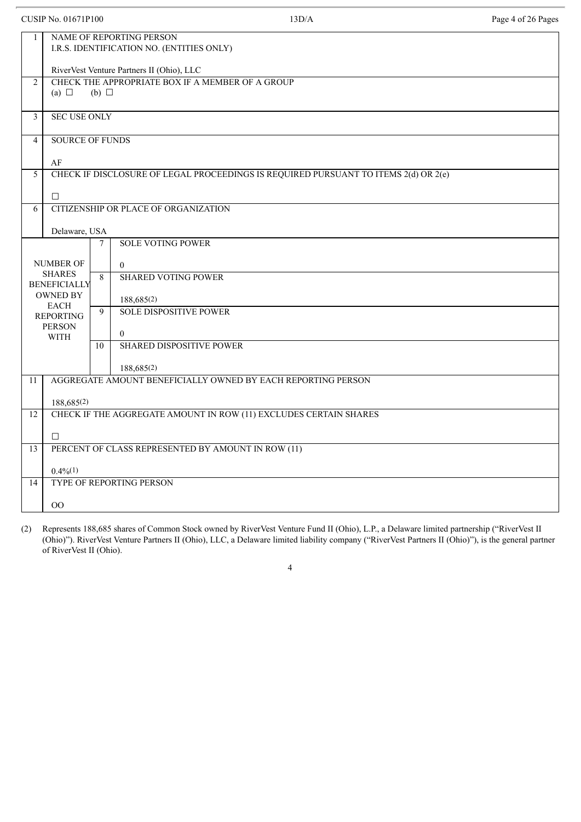|                         | <b>CUSIP No. 01671P100</b>                                            |                                                                     | 13D/A                                                                               | Page 4 of 26 Pages |  |  |  |  |
|-------------------------|-----------------------------------------------------------------------|---------------------------------------------------------------------|-------------------------------------------------------------------------------------|--------------------|--|--|--|--|
| $\mathbf{1}$            | NAME OF REPORTING PERSON<br>I.R.S. IDENTIFICATION NO. (ENTITIES ONLY) |                                                                     |                                                                                     |                    |  |  |  |  |
|                         | RiverVest Venture Partners II (Ohio), LLC                             |                                                                     |                                                                                     |                    |  |  |  |  |
| $\overline{2}$          | (a) $\Box$                                                            | CHECK THE APPROPRIATE BOX IF A MEMBER OF A GROUP<br>$(b)$ $\square$ |                                                                                     |                    |  |  |  |  |
| $\overline{\mathbf{3}}$ | <b>SEC USE ONLY</b>                                                   |                                                                     |                                                                                     |                    |  |  |  |  |
| $\overline{4}$          | <b>SOURCE OF FUNDS</b>                                                |                                                                     |                                                                                     |                    |  |  |  |  |
|                         | AF                                                                    |                                                                     |                                                                                     |                    |  |  |  |  |
| 5                       |                                                                       |                                                                     | CHECK IF DISCLOSURE OF LEGAL PROCEEDINGS IS REQUIRED PURSUANT TO ITEMS 2(d) OR 2(e) |                    |  |  |  |  |
|                         | $\Box$                                                                |                                                                     |                                                                                     |                    |  |  |  |  |
| 6                       |                                                                       |                                                                     | CITIZENSHIP OR PLACE OF ORGANIZATION                                                |                    |  |  |  |  |
|                         | Delaware, USA                                                         |                                                                     |                                                                                     |                    |  |  |  |  |
|                         |                                                                       | 7                                                                   | <b>SOLE VOTING POWER</b>                                                            |                    |  |  |  |  |
|                         | <b>NUMBER OF</b>                                                      |                                                                     | $\theta$                                                                            |                    |  |  |  |  |
|                         | <b>SHARES</b><br><b>BENEFICIALLY</b>                                  | 8                                                                   | <b>SHARED VOTING POWER</b>                                                          |                    |  |  |  |  |
|                         | <b>OWNED BY</b>                                                       |                                                                     | 188,685(2)                                                                          |                    |  |  |  |  |
|                         | <b>EACH</b><br><b>REPORTING</b>                                       | 9                                                                   | <b>SOLE DISPOSITIVE POWER</b>                                                       |                    |  |  |  |  |
|                         | <b>PERSON</b>                                                         |                                                                     | $\overline{0}$                                                                      |                    |  |  |  |  |
|                         | <b>WITH</b>                                                           | 10                                                                  | <b>SHARED DISPOSITIVE POWER</b>                                                     |                    |  |  |  |  |
|                         |                                                                       |                                                                     | 188,685(2)                                                                          |                    |  |  |  |  |
| 11                      |                                                                       |                                                                     | AGGREGATE AMOUNT BENEFICIALLY OWNED BY EACH REPORTING PERSON                        |                    |  |  |  |  |
|                         | 188,685(2)                                                            |                                                                     |                                                                                     |                    |  |  |  |  |
| 12                      |                                                                       |                                                                     | CHECK IF THE AGGREGATE AMOUNT IN ROW (11) EXCLUDES CERTAIN SHARES                   |                    |  |  |  |  |
|                         |                                                                       |                                                                     |                                                                                     |                    |  |  |  |  |
| 13                      | п                                                                     |                                                                     | PERCENT OF CLASS REPRESENTED BY AMOUNT IN ROW (11)                                  |                    |  |  |  |  |
|                         |                                                                       |                                                                     |                                                                                     |                    |  |  |  |  |
| 14                      | $0.4\%/1)$                                                            |                                                                     | TYPE OF REPORTING PERSON                                                            |                    |  |  |  |  |
|                         |                                                                       |                                                                     |                                                                                     |                    |  |  |  |  |
|                         | $00\,$                                                                |                                                                     |                                                                                     |                    |  |  |  |  |

(2) Represents 188,685 shares of Common Stock owned by RiverVest Venture Fund II (Ohio), L.P., a Delaware limited partnership ("RiverVest II (Ohio)"). RiverVest Venture Partners II (Ohio), LLC, a Delaware limited liability company ("RiverVest Partners II (Ohio)"), is the general partner of RiverVest II (Ohio).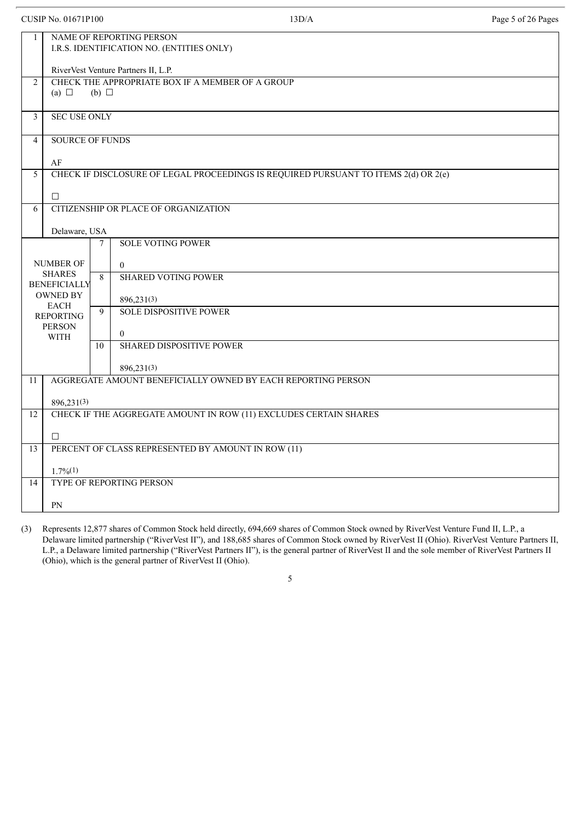|                | <b>CUSIP No. 01671P100</b>                                            |                 | 13D/A                                                                               | Page 5 of 26 Pages |  |  |  |
|----------------|-----------------------------------------------------------------------|-----------------|-------------------------------------------------------------------------------------|--------------------|--|--|--|
| $\mathbf{1}$   | NAME OF REPORTING PERSON<br>I.R.S. IDENTIFICATION NO. (ENTITIES ONLY) |                 |                                                                                     |                    |  |  |  |
|                | RiverVest Venture Partners II, L.P.                                   |                 |                                                                                     |                    |  |  |  |
| 2              | (a) $\Box$                                                            | $(b)$ $\square$ | CHECK THE APPROPRIATE BOX IF A MEMBER OF A GROUP                                    |                    |  |  |  |
| 3              | <b>SEC USE ONLY</b>                                                   |                 |                                                                                     |                    |  |  |  |
| $\overline{4}$ | <b>SOURCE OF FUNDS</b>                                                |                 |                                                                                     |                    |  |  |  |
|                | AF                                                                    |                 |                                                                                     |                    |  |  |  |
| 5              |                                                                       |                 | CHECK IF DISCLOSURE OF LEGAL PROCEEDINGS IS REQUIRED PURSUANT TO ITEMS 2(d) OR 2(e) |                    |  |  |  |
|                | $\Box$                                                                |                 |                                                                                     |                    |  |  |  |
| 6              |                                                                       |                 | CITIZENSHIP OR PLACE OF ORGANIZATION                                                |                    |  |  |  |
|                | Delaware, USA                                                         |                 |                                                                                     |                    |  |  |  |
|                |                                                                       | $\tau$          | <b>SOLE VOTING POWER</b>                                                            |                    |  |  |  |
|                | <b>NUMBER OF</b>                                                      |                 | $\overline{0}$                                                                      |                    |  |  |  |
|                | <b>SHARES</b><br><b>BENEFICIALLY</b>                                  | 8               | <b>SHARED VOTING POWER</b>                                                          |                    |  |  |  |
|                | <b>OWNED BY</b>                                                       |                 | 896,231(3)                                                                          |                    |  |  |  |
|                | <b>EACH</b><br><b>REPORTING</b>                                       | 9               | <b>SOLE DISPOSITIVE POWER</b>                                                       |                    |  |  |  |
|                | <b>PERSON</b>                                                         |                 |                                                                                     |                    |  |  |  |
|                | <b>WITH</b>                                                           | 10 <sup>1</sup> | $\mathbf{0}$<br><b>SHARED DISPOSITIVE POWER</b>                                     |                    |  |  |  |
|                |                                                                       |                 |                                                                                     |                    |  |  |  |
|                |                                                                       |                 | 896,231(3)<br>AGGREGATE AMOUNT BENEFICIALLY OWNED BY EACH REPORTING PERSON          |                    |  |  |  |
| 11             |                                                                       |                 |                                                                                     |                    |  |  |  |
|                | 896,231(3)                                                            |                 |                                                                                     |                    |  |  |  |
| 12             |                                                                       |                 | CHECK IF THE AGGREGATE AMOUNT IN ROW (11) EXCLUDES CERTAIN SHARES                   |                    |  |  |  |
|                | $\Box$                                                                |                 |                                                                                     |                    |  |  |  |
| 13             |                                                                       |                 | PERCENT OF CLASS REPRESENTED BY AMOUNT IN ROW (11)                                  |                    |  |  |  |
|                | $1.7\%(1)$                                                            |                 |                                                                                     |                    |  |  |  |
| 14             |                                                                       |                 | <b>TYPE OF REPORTING PERSON</b>                                                     |                    |  |  |  |
|                | PN                                                                    |                 |                                                                                     |                    |  |  |  |
|                |                                                                       |                 |                                                                                     |                    |  |  |  |

(3) Represents 12,877 shares of Common Stock held directly, 694,669 shares of Common Stock owned by RiverVest Venture Fund II, L.P., a Delaware limited partnership ("RiverVest II"), and 188,685 shares of Common Stock owned by RiverVest II (Ohio). RiverVest Venture Partners II, L.P., a Delaware limited partnership ("RiverVest Partners II"), is the general partner of RiverVest II and the sole member of RiverVest Partners II (Ohio), which is the general partner of RiverVest II (Ohio).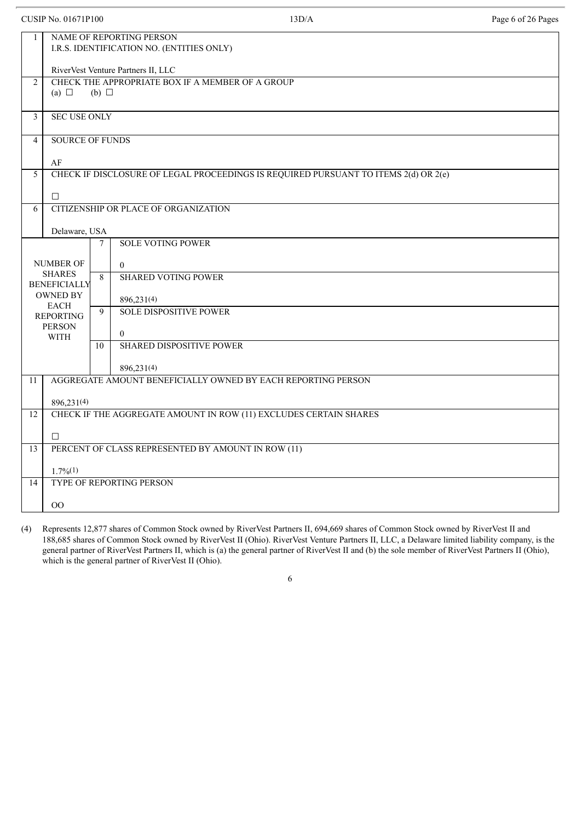| <b>CUSIP No. 01671P100</b> |                                                                       |                 | 13D/A                                                                               | Page 6 of 26 Pages |  |  |  |
|----------------------------|-----------------------------------------------------------------------|-----------------|-------------------------------------------------------------------------------------|--------------------|--|--|--|
| 1                          | NAME OF REPORTING PERSON<br>I.R.S. IDENTIFICATION NO. (ENTITIES ONLY) |                 |                                                                                     |                    |  |  |  |
|                            | RiverVest Venture Partners II, LLC                                    |                 |                                                                                     |                    |  |  |  |
| 2                          | (a) $\Box$                                                            | $(b)$ $\square$ | CHECK THE APPROPRIATE BOX IF A MEMBER OF A GROUP                                    |                    |  |  |  |
| 3                          | <b>SEC USE ONLY</b>                                                   |                 |                                                                                     |                    |  |  |  |
| $\overline{4}$             | <b>SOURCE OF FUNDS</b>                                                |                 |                                                                                     |                    |  |  |  |
|                            | AF                                                                    |                 |                                                                                     |                    |  |  |  |
| 5                          |                                                                       |                 | CHECK IF DISCLOSURE OF LEGAL PROCEEDINGS IS REQUIRED PURSUANT TO ITEMS 2(d) OR 2(e) |                    |  |  |  |
|                            | $\Box$                                                                |                 |                                                                                     |                    |  |  |  |
| 6                          |                                                                       |                 | CITIZENSHIP OR PLACE OF ORGANIZATION                                                |                    |  |  |  |
|                            | Delaware, USA                                                         |                 |                                                                                     |                    |  |  |  |
|                            |                                                                       | $\tau$          | <b>SOLE VOTING POWER</b>                                                            |                    |  |  |  |
|                            | <b>NUMBER OF</b>                                                      |                 | $\mathbf{0}$                                                                        |                    |  |  |  |
|                            | <b>SHARES</b><br><b>BENEFICIALLY</b>                                  | 8               | <b>SHARED VOTING POWER</b>                                                          |                    |  |  |  |
|                            | <b>OWNED BY</b>                                                       |                 | 896,231(4)                                                                          |                    |  |  |  |
|                            | <b>EACH</b>                                                           | 9               | <b>SOLE DISPOSITIVE POWER</b>                                                       |                    |  |  |  |
|                            | <b>REPORTING</b><br><b>PERSON</b>                                     |                 |                                                                                     |                    |  |  |  |
|                            | <b>WITH</b>                                                           | 10              | $\theta$<br><b>SHARED DISPOSITIVE POWER</b>                                         |                    |  |  |  |
|                            |                                                                       |                 |                                                                                     |                    |  |  |  |
|                            |                                                                       |                 | 896,231(4)                                                                          |                    |  |  |  |
| 11                         |                                                                       |                 | AGGREGATE AMOUNT BENEFICIALLY OWNED BY EACH REPORTING PERSON                        |                    |  |  |  |
|                            | 896,231(4)                                                            |                 |                                                                                     |                    |  |  |  |
| 12                         |                                                                       |                 | CHECK IF THE AGGREGATE AMOUNT IN ROW (11) EXCLUDES CERTAIN SHARES                   |                    |  |  |  |
|                            | $\Box$                                                                |                 |                                                                                     |                    |  |  |  |
| 13                         |                                                                       |                 | PERCENT OF CLASS REPRESENTED BY AMOUNT IN ROW (11)                                  |                    |  |  |  |
|                            | $1.7\%(1)$                                                            |                 |                                                                                     |                    |  |  |  |
| 14                         |                                                                       |                 | TYPE OF REPORTING PERSON                                                            |                    |  |  |  |
|                            | 00                                                                    |                 |                                                                                     |                    |  |  |  |
|                            |                                                                       |                 |                                                                                     |                    |  |  |  |

(4) Represents 12,877 shares of Common Stock owned by RiverVest Partners II, 694,669 shares of Common Stock owned by RiverVest II and 188,685 shares of Common Stock owned by RiverVest II (Ohio). RiverVest Venture Partners II, LLC, a Delaware limited liability company, is the general partner of RiverVest Partners II, which is (a) the general partner of RiverVest II and (b) the sole member of RiverVest Partners II (Ohio), which is the general partner of RiverVest II (Ohio).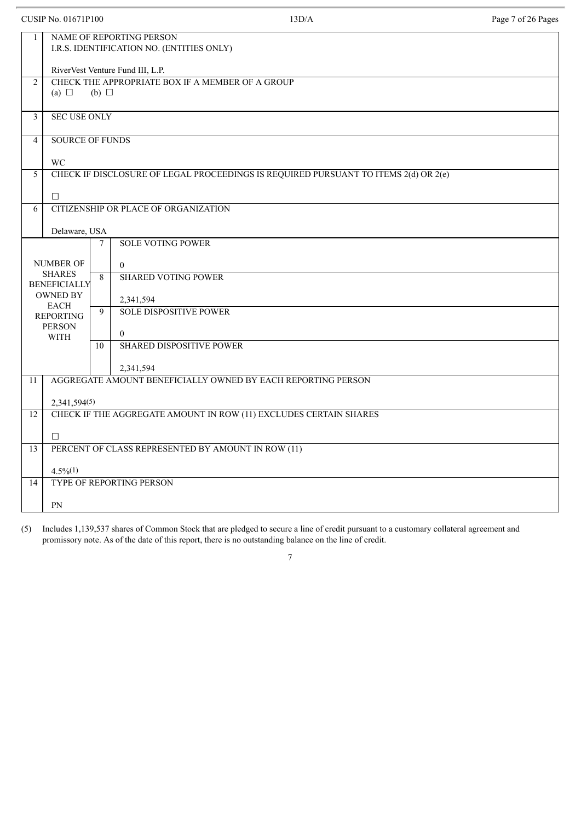|                | <b>CUSIP No. 01671P100</b>                                            |                 | 13D/A                                                                               | Page 7 of 26 Pages |  |  |  |
|----------------|-----------------------------------------------------------------------|-----------------|-------------------------------------------------------------------------------------|--------------------|--|--|--|
| 1              | NAME OF REPORTING PERSON<br>I.R.S. IDENTIFICATION NO. (ENTITIES ONLY) |                 |                                                                                     |                    |  |  |  |
|                | RiverVest Venture Fund III, L.P.                                      |                 |                                                                                     |                    |  |  |  |
| $\overline{2}$ | (a) $\Box$                                                            | $(b)$ $\square$ | CHECK THE APPROPRIATE BOX IF A MEMBER OF A GROUP                                    |                    |  |  |  |
| 3              | <b>SEC USE ONLY</b>                                                   |                 |                                                                                     |                    |  |  |  |
| $\overline{4}$ | <b>SOURCE OF FUNDS</b>                                                |                 |                                                                                     |                    |  |  |  |
|                | WC                                                                    |                 |                                                                                     |                    |  |  |  |
| 5              |                                                                       |                 | CHECK IF DISCLOSURE OF LEGAL PROCEEDINGS IS REQUIRED PURSUANT TO ITEMS 2(d) OR 2(e) |                    |  |  |  |
|                | $\Box$                                                                |                 |                                                                                     |                    |  |  |  |
| 6              |                                                                       |                 | CITIZENSHIP OR PLACE OF ORGANIZATION                                                |                    |  |  |  |
|                | Delaware, USA                                                         |                 |                                                                                     |                    |  |  |  |
|                |                                                                       | 7               | <b>SOLE VOTING POWER</b>                                                            |                    |  |  |  |
|                | <b>NUMBER OF</b><br><b>SHARES</b><br><b>BENEFICIALLY</b>              | 8               | $\overline{0}$<br><b>SHARED VOTING POWER</b>                                        |                    |  |  |  |
|                | <b>OWNED BY</b>                                                       |                 | 2,341,594                                                                           |                    |  |  |  |
|                | <b>EACH</b><br><b>REPORTING</b>                                       | 9               | <b>SOLE DISPOSITIVE POWER</b>                                                       |                    |  |  |  |
|                | <b>PERSON</b><br><b>WITH</b>                                          |                 | $\overline{0}$                                                                      |                    |  |  |  |
|                |                                                                       | 10              | <b>SHARED DISPOSITIVE POWER</b>                                                     |                    |  |  |  |
|                |                                                                       |                 | 2,341,594                                                                           |                    |  |  |  |
| 11             |                                                                       |                 | AGGREGATE AMOUNT BENEFICIALLY OWNED BY EACH REPORTING PERSON                        |                    |  |  |  |
|                | 2,341,594(5)                                                          |                 |                                                                                     |                    |  |  |  |
| 12             |                                                                       |                 | CHECK IF THE AGGREGATE AMOUNT IN ROW (11) EXCLUDES CERTAIN SHARES                   |                    |  |  |  |
|                | □                                                                     |                 |                                                                                     |                    |  |  |  |
| 13             |                                                                       |                 | PERCENT OF CLASS REPRESENTED BY AMOUNT IN ROW (11)                                  |                    |  |  |  |
|                | $4.5\%(1)$                                                            |                 |                                                                                     |                    |  |  |  |
| 14             |                                                                       |                 | TYPE OF REPORTING PERSON                                                            |                    |  |  |  |
|                | PN                                                                    |                 |                                                                                     |                    |  |  |  |

(5) Includes 1,139,537 shares of Common Stock that are pledged to secure a line of credit pursuant to a customary collateral agreement and promissory note. As of the date of this report, there is no outstanding balance on the line of credit.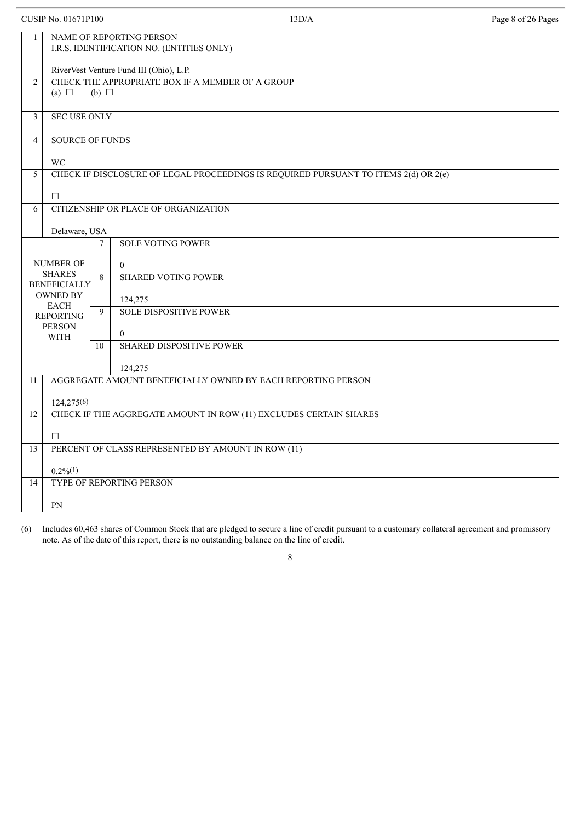|                | <b>CUSIP No. 01671P100</b>                                            |                 | 13D/A                                                                               | Page 8 of 26 Pages |  |  |  |  |
|----------------|-----------------------------------------------------------------------|-----------------|-------------------------------------------------------------------------------------|--------------------|--|--|--|--|
| $\mathbf{1}$   | NAME OF REPORTING PERSON<br>I.R.S. IDENTIFICATION NO. (ENTITIES ONLY) |                 |                                                                                     |                    |  |  |  |  |
|                | RiverVest Venture Fund III (Ohio), L.P.                               |                 |                                                                                     |                    |  |  |  |  |
| $\overline{2}$ | (a) $\Box$                                                            | $(b)$ $\square$ | CHECK THE APPROPRIATE BOX IF A MEMBER OF A GROUP                                    |                    |  |  |  |  |
| 3              | <b>SEC USE ONLY</b>                                                   |                 |                                                                                     |                    |  |  |  |  |
| $\overline{4}$ | <b>SOURCE OF FUNDS</b>                                                |                 |                                                                                     |                    |  |  |  |  |
|                | <b>WC</b>                                                             |                 |                                                                                     |                    |  |  |  |  |
| 5              |                                                                       |                 | CHECK IF DISCLOSURE OF LEGAL PROCEEDINGS IS REQUIRED PURSUANT TO ITEMS 2(d) OR 2(e) |                    |  |  |  |  |
|                | п                                                                     |                 |                                                                                     |                    |  |  |  |  |
| 6              |                                                                       |                 | CITIZENSHIP OR PLACE OF ORGANIZATION                                                |                    |  |  |  |  |
|                | Delaware, USA                                                         |                 |                                                                                     |                    |  |  |  |  |
|                |                                                                       | 7               | <b>SOLE VOTING POWER</b>                                                            |                    |  |  |  |  |
|                | <b>NUMBER OF</b>                                                      |                 | $\boldsymbol{0}$                                                                    |                    |  |  |  |  |
|                | <b>SHARES</b><br><b>BENEFICIALLY</b>                                  | 8               | <b>SHARED VOTING POWER</b>                                                          |                    |  |  |  |  |
|                | <b>OWNED BY</b>                                                       |                 | 124,275                                                                             |                    |  |  |  |  |
|                | <b>EACH</b><br><b>REPORTING</b>                                       | 9               | <b>SOLE DISPOSITIVE POWER</b>                                                       |                    |  |  |  |  |
|                | <b>PERSON</b><br><b>WITH</b>                                          |                 | $\overline{0}$                                                                      |                    |  |  |  |  |
|                |                                                                       | 10              | <b>SHARED DISPOSITIVE POWER</b>                                                     |                    |  |  |  |  |
|                |                                                                       |                 | 124,275                                                                             |                    |  |  |  |  |
| 11             |                                                                       |                 | AGGREGATE AMOUNT BENEFICIALLY OWNED BY EACH REPORTING PERSON                        |                    |  |  |  |  |
|                | 124,275(6)                                                            |                 |                                                                                     |                    |  |  |  |  |
| 12             |                                                                       |                 | CHECK IF THE AGGREGATE AMOUNT IN ROW (11) EXCLUDES CERTAIN SHARES                   |                    |  |  |  |  |
|                | $\Box$                                                                |                 |                                                                                     |                    |  |  |  |  |
| 13             |                                                                       |                 | PERCENT OF CLASS REPRESENTED BY AMOUNT IN ROW (11)                                  |                    |  |  |  |  |
|                | $0.2\%/1)$                                                            |                 |                                                                                     |                    |  |  |  |  |
| 14             |                                                                       |                 | TYPE OF REPORTING PERSON                                                            |                    |  |  |  |  |
|                | PN                                                                    |                 |                                                                                     |                    |  |  |  |  |

(6) Includes 60,463 shares of Common Stock that are pledged to secure a line of credit pursuant to a customary collateral agreement and promissory note. As of the date of this report, there is no outstanding balance on the line of credit.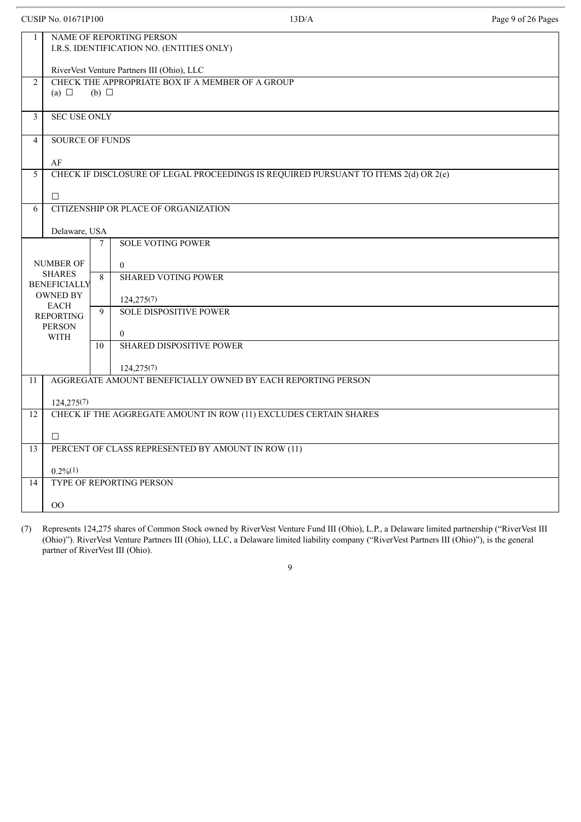|                | <b>CUSIP No. 01671P100</b>                 |                                                                     | 13D/A                                                                               | Page 9 of 26 Pages |  |  |  |  |
|----------------|--------------------------------------------|---------------------------------------------------------------------|-------------------------------------------------------------------------------------|--------------------|--|--|--|--|
| 1              |                                            |                                                                     | NAME OF REPORTING PERSON<br>I.R.S. IDENTIFICATION NO. (ENTITIES ONLY)               |                    |  |  |  |  |
|                | RiverVest Venture Partners III (Ohio), LLC |                                                                     |                                                                                     |                    |  |  |  |  |
| $\overline{2}$ | (a) $\Box$                                 | CHECK THE APPROPRIATE BOX IF A MEMBER OF A GROUP<br>$(b)$ $\square$ |                                                                                     |                    |  |  |  |  |
| 3              | <b>SEC USE ONLY</b>                        |                                                                     |                                                                                     |                    |  |  |  |  |
| $\overline{4}$ | <b>SOURCE OF FUNDS</b>                     |                                                                     |                                                                                     |                    |  |  |  |  |
|                | AF                                         |                                                                     |                                                                                     |                    |  |  |  |  |
| 5              |                                            |                                                                     | CHECK IF DISCLOSURE OF LEGAL PROCEEDINGS IS REQUIRED PURSUANT TO ITEMS 2(d) OR 2(e) |                    |  |  |  |  |
|                | $\Box$                                     |                                                                     |                                                                                     |                    |  |  |  |  |
| 6              |                                            |                                                                     | CITIZENSHIP OR PLACE OF ORGANIZATION                                                |                    |  |  |  |  |
|                | Delaware, USA                              |                                                                     |                                                                                     |                    |  |  |  |  |
|                |                                            | $\overline{7}$                                                      | <b>SOLE VOTING POWER</b>                                                            |                    |  |  |  |  |
|                | <b>NUMBER OF</b>                           |                                                                     | $\mathbf{0}$                                                                        |                    |  |  |  |  |
|                | <b>SHARES</b>                              | 8                                                                   | <b>SHARED VOTING POWER</b>                                                          |                    |  |  |  |  |
|                | <b>BENEFICIALLY</b><br><b>OWNED BY</b>     |                                                                     | 124,275(7)                                                                          |                    |  |  |  |  |
|                | <b>EACH</b><br><b>REPORTING</b>            | 9                                                                   | <b>SOLE DISPOSITIVE POWER</b>                                                       |                    |  |  |  |  |
|                | <b>PERSON</b>                              |                                                                     | $\overline{0}$                                                                      |                    |  |  |  |  |
|                | <b>WITH</b>                                | 10                                                                  | <b>SHARED DISPOSITIVE POWER</b>                                                     |                    |  |  |  |  |
|                |                                            |                                                                     |                                                                                     |                    |  |  |  |  |
| 11             |                                            |                                                                     | 124,275(7)<br>AGGREGATE AMOUNT BENEFICIALLY OWNED BY EACH REPORTING PERSON          |                    |  |  |  |  |
|                |                                            |                                                                     |                                                                                     |                    |  |  |  |  |
| 12             | 124,275(7)                                 |                                                                     | CHECK IF THE AGGREGATE AMOUNT IN ROW (11) EXCLUDES CERTAIN SHARES                   |                    |  |  |  |  |
|                |                                            |                                                                     |                                                                                     |                    |  |  |  |  |
| 13             | $\Box$                                     |                                                                     | PERCENT OF CLASS REPRESENTED BY AMOUNT IN ROW (11)                                  |                    |  |  |  |  |
|                |                                            |                                                                     |                                                                                     |                    |  |  |  |  |
| 14             | $0.2\%/1)$                                 |                                                                     | TYPE OF REPORTING PERSON                                                            |                    |  |  |  |  |
|                |                                            |                                                                     |                                                                                     |                    |  |  |  |  |
|                | $00\,$                                     |                                                                     |                                                                                     |                    |  |  |  |  |

(7) Represents 124,275 shares of Common Stock owned by RiverVest Venture Fund III (Ohio), L.P., a Delaware limited partnership ("RiverVest III (Ohio)"). RiverVest Venture Partners III (Ohio), LLC, a Delaware limited liability company ("RiverVest Partners III (Ohio)"), is the general partner of RiverVest III (Ohio).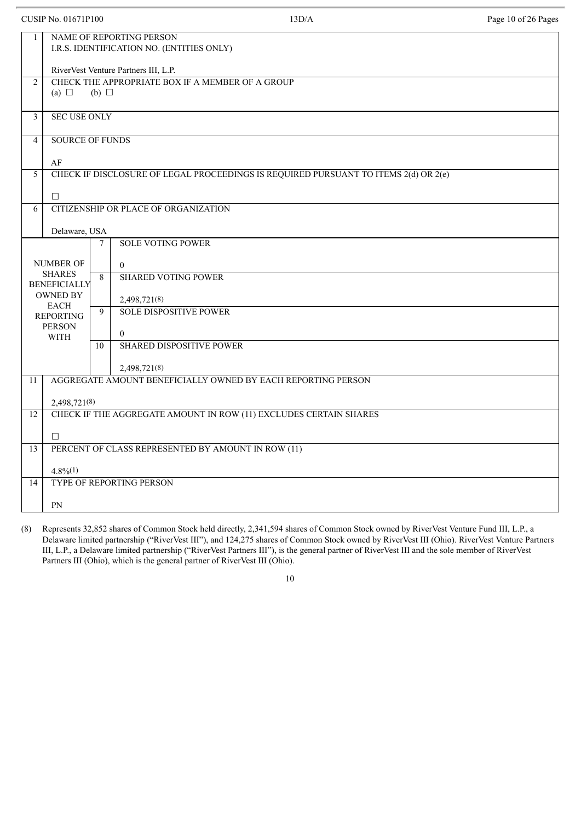|                | <b>CUSIP No. 01671P100</b>                                            |                 | 13D/A                                                                               | Page 10 of 26 Pages |  |  |  |  |
|----------------|-----------------------------------------------------------------------|-----------------|-------------------------------------------------------------------------------------|---------------------|--|--|--|--|
| $\mathbf{1}$   | NAME OF REPORTING PERSON<br>I.R.S. IDENTIFICATION NO. (ENTITIES ONLY) |                 |                                                                                     |                     |  |  |  |  |
|                | RiverVest Venture Partners III, L.P.                                  |                 |                                                                                     |                     |  |  |  |  |
| $\overline{2}$ | (a) $\Box$                                                            | $(b)$ $\square$ | CHECK THE APPROPRIATE BOX IF A MEMBER OF A GROUP                                    |                     |  |  |  |  |
| 3              | <b>SEC USE ONLY</b>                                                   |                 |                                                                                     |                     |  |  |  |  |
| $\overline{4}$ | <b>SOURCE OF FUNDS</b>                                                |                 |                                                                                     |                     |  |  |  |  |
|                | AF                                                                    |                 |                                                                                     |                     |  |  |  |  |
| 5              |                                                                       |                 | CHECK IF DISCLOSURE OF LEGAL PROCEEDINGS IS REQUIRED PURSUANT TO ITEMS 2(d) OR 2(e) |                     |  |  |  |  |
|                | $\Box$                                                                |                 |                                                                                     |                     |  |  |  |  |
| 6              |                                                                       |                 | CITIZENSHIP OR PLACE OF ORGANIZATION                                                |                     |  |  |  |  |
|                | Delaware, USA                                                         |                 |                                                                                     |                     |  |  |  |  |
|                |                                                                       | 7               | <b>SOLE VOTING POWER</b>                                                            |                     |  |  |  |  |
|                | <b>NUMBER OF</b>                                                      |                 | $\overline{0}$                                                                      |                     |  |  |  |  |
|                | <b>SHARES</b><br><b>BENEFICIALLY</b>                                  | 8               | <b>SHARED VOTING POWER</b>                                                          |                     |  |  |  |  |
|                | <b>OWNED BY</b>                                                       |                 | 2,498,721(8)                                                                        |                     |  |  |  |  |
|                | <b>EACH</b><br><b>REPORTING</b>                                       | 9               | <b>SOLE DISPOSITIVE POWER</b>                                                       |                     |  |  |  |  |
|                | <b>PERSON</b>                                                         |                 | $\theta$                                                                            |                     |  |  |  |  |
|                | <b>WITH</b>                                                           | 10              | <b>SHARED DISPOSITIVE POWER</b>                                                     |                     |  |  |  |  |
|                |                                                                       |                 |                                                                                     |                     |  |  |  |  |
| 11             |                                                                       |                 | 2,498,721(8)<br>AGGREGATE AMOUNT BENEFICIALLY OWNED BY EACH REPORTING PERSON        |                     |  |  |  |  |
|                |                                                                       |                 |                                                                                     |                     |  |  |  |  |
| 12             | 2,498,721(8)                                                          |                 | CHECK IF THE AGGREGATE AMOUNT IN ROW (11) EXCLUDES CERTAIN SHARES                   |                     |  |  |  |  |
|                |                                                                       |                 |                                                                                     |                     |  |  |  |  |
|                | $\Box$                                                                |                 |                                                                                     |                     |  |  |  |  |
| 13             |                                                                       |                 | PERCENT OF CLASS REPRESENTED BY AMOUNT IN ROW (11)                                  |                     |  |  |  |  |
|                | $4.8\%(1)$                                                            |                 |                                                                                     |                     |  |  |  |  |
| 14             |                                                                       |                 | TYPE OF REPORTING PERSON                                                            |                     |  |  |  |  |
|                | PN                                                                    |                 |                                                                                     |                     |  |  |  |  |

(8) Represents 32,852 shares of Common Stock held directly, 2,341,594 shares of Common Stock owned by RiverVest Venture Fund III, L.P., a Delaware limited partnership ("RiverVest III"), and 124,275 shares of Common Stock owned by RiverVest III (Ohio). RiverVest Venture Partners III, L.P., a Delaware limited partnership ("RiverVest Partners III"), is the general partner of RiverVest III and the sole member of RiverVest Partners III (Ohio), which is the general partner of RiverVest III (Ohio).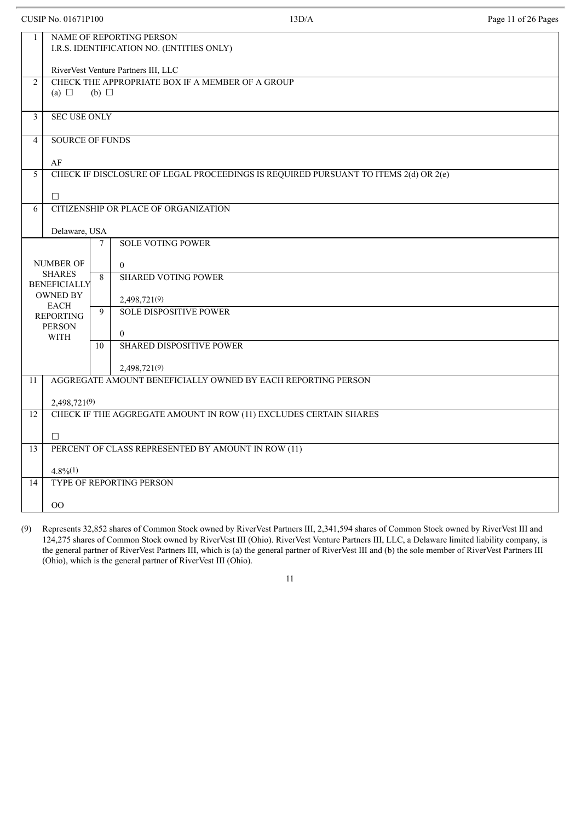|                | <b>CUSIP No. 01671P100</b>                                            |                 | 13D/A                                                                               | Page 11 of 26 Pages |  |  |  |
|----------------|-----------------------------------------------------------------------|-----------------|-------------------------------------------------------------------------------------|---------------------|--|--|--|
| $\mathbf{1}$   | NAME OF REPORTING PERSON<br>I.R.S. IDENTIFICATION NO. (ENTITIES ONLY) |                 |                                                                                     |                     |  |  |  |
|                | RiverVest Venture Partners III, LLC                                   |                 |                                                                                     |                     |  |  |  |
| 2              | (a) $\Box$                                                            | $(b)$ $\square$ | CHECK THE APPROPRIATE BOX IF A MEMBER OF A GROUP                                    |                     |  |  |  |
| $\mathfrak{Z}$ | <b>SEC USE ONLY</b>                                                   |                 |                                                                                     |                     |  |  |  |
| $\overline{4}$ | <b>SOURCE OF FUNDS</b>                                                |                 |                                                                                     |                     |  |  |  |
|                | AF                                                                    |                 |                                                                                     |                     |  |  |  |
| 5              |                                                                       |                 | CHECK IF DISCLOSURE OF LEGAL PROCEEDINGS IS REQUIRED PURSUANT TO ITEMS 2(d) OR 2(e) |                     |  |  |  |
|                | П.                                                                    |                 |                                                                                     |                     |  |  |  |
| 6              |                                                                       |                 | CITIZENSHIP OR PLACE OF ORGANIZATION                                                |                     |  |  |  |
|                | Delaware, USA                                                         |                 |                                                                                     |                     |  |  |  |
|                |                                                                       | $\tau$          | <b>SOLE VOTING POWER</b>                                                            |                     |  |  |  |
|                | <b>NUMBER OF</b><br><b>SHARES</b><br><b>BENEFICIALLY</b>              | 8               | $\overline{0}$<br><b>SHARED VOTING POWER</b>                                        |                     |  |  |  |
|                | <b>OWNED BY</b>                                                       |                 | 2,498,721(9)                                                                        |                     |  |  |  |
|                | <b>EACH</b><br><b>REPORTING</b>                                       | 9               | <b>SOLE DISPOSITIVE POWER</b>                                                       |                     |  |  |  |
|                | <b>PERSON</b><br><b>WITH</b>                                          |                 | $\overline{0}$                                                                      |                     |  |  |  |
|                |                                                                       | 10              | <b>SHARED DISPOSITIVE POWER</b>                                                     |                     |  |  |  |
|                |                                                                       |                 | 2,498,721(9)                                                                        |                     |  |  |  |
| 11             |                                                                       |                 | AGGREGATE AMOUNT BENEFICIALLY OWNED BY EACH REPORTING PERSON                        |                     |  |  |  |
|                | 2,498,721(9)                                                          |                 |                                                                                     |                     |  |  |  |
| 12             |                                                                       |                 | CHECK IF THE AGGREGATE AMOUNT IN ROW (11) EXCLUDES CERTAIN SHARES                   |                     |  |  |  |
|                | $\Box$                                                                |                 |                                                                                     |                     |  |  |  |
| 13             |                                                                       |                 | PERCENT OF CLASS REPRESENTED BY AMOUNT IN ROW (11)                                  |                     |  |  |  |
|                | $4.8\%(1)$                                                            |                 |                                                                                     |                     |  |  |  |
| 14             |                                                                       |                 | TYPE OF REPORTING PERSON                                                            |                     |  |  |  |
|                |                                                                       |                 |                                                                                     |                     |  |  |  |
|                | 00                                                                    |                 |                                                                                     |                     |  |  |  |

(9) Represents 32,852 shares of Common Stock owned by RiverVest Partners III, 2,341,594 shares of Common Stock owned by RiverVest III and 124,275 shares of Common Stock owned by RiverVest III (Ohio). RiverVest Venture Partners III, LLC, a Delaware limited liability company, is the general partner of RiverVest Partners III, which is (a) the general partner of RiverVest III and (b) the sole member of RiverVest Partners III (Ohio), which is the general partner of RiverVest III (Ohio).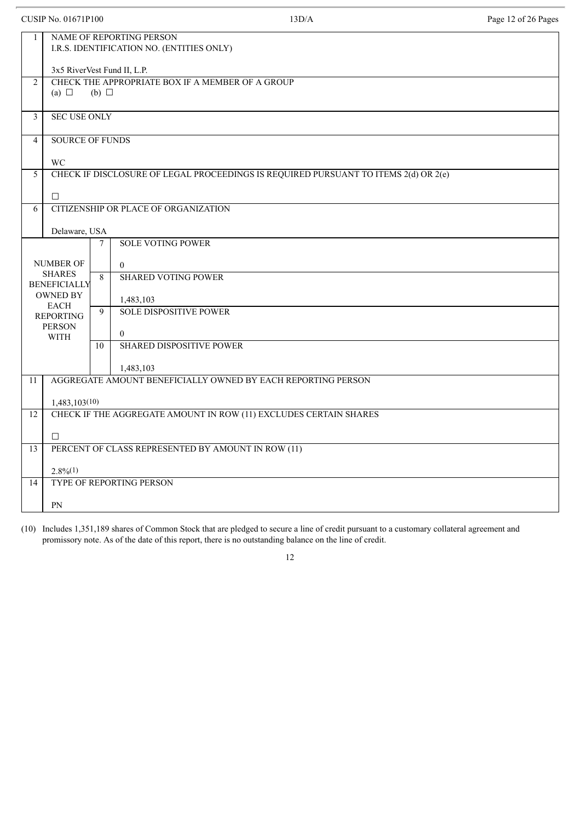|                | <b>CUSIP No. 01671P100</b>             |                 | 13D/A                                                                               | Page 12 of 26 Pages |  |  |  |  |
|----------------|----------------------------------------|-----------------|-------------------------------------------------------------------------------------|---------------------|--|--|--|--|
| $\mathbf{1}$   |                                        |                 | NAME OF REPORTING PERSON<br>I.R.S. IDENTIFICATION NO. (ENTITIES ONLY)               |                     |  |  |  |  |
|                | 3x5 RiverVest Fund II, L.P.            |                 |                                                                                     |                     |  |  |  |  |
| 2              | (a) $\Box$                             | $(b)$ $\square$ | CHECK THE APPROPRIATE BOX IF A MEMBER OF A GROUP                                    |                     |  |  |  |  |
| 3              | <b>SEC USE ONLY</b>                    |                 |                                                                                     |                     |  |  |  |  |
| $\overline{4}$ | <b>SOURCE OF FUNDS</b>                 |                 |                                                                                     |                     |  |  |  |  |
|                | <b>WC</b>                              |                 |                                                                                     |                     |  |  |  |  |
| 5              |                                        |                 | CHECK IF DISCLOSURE OF LEGAL PROCEEDINGS IS REQUIRED PURSUANT TO ITEMS 2(d) OR 2(e) |                     |  |  |  |  |
|                | $\Box$                                 |                 |                                                                                     |                     |  |  |  |  |
| 6              |                                        |                 | CITIZENSHIP OR PLACE OF ORGANIZATION                                                |                     |  |  |  |  |
|                | Delaware, USA                          |                 |                                                                                     |                     |  |  |  |  |
|                |                                        | 7               | <b>SOLE VOTING POWER</b>                                                            |                     |  |  |  |  |
|                | <b>NUMBER OF</b><br><b>SHARES</b>      | 8               | $\overline{0}$<br><b>SHARED VOTING POWER</b>                                        |                     |  |  |  |  |
|                | <b>BENEFICIALLY</b><br><b>OWNED BY</b> |                 | 1,483,103                                                                           |                     |  |  |  |  |
|                | <b>EACH</b><br><b>REPORTING</b>        | 9               | <b>SOLE DISPOSITIVE POWER</b>                                                       |                     |  |  |  |  |
|                | <b>PERSON</b><br><b>WITH</b>           |                 | $\overline{0}$                                                                      |                     |  |  |  |  |
|                |                                        | 10              | <b>SHARED DISPOSITIVE POWER</b>                                                     |                     |  |  |  |  |
|                |                                        |                 | 1,483,103                                                                           |                     |  |  |  |  |
| 11             |                                        |                 | AGGREGATE AMOUNT BENEFICIALLY OWNED BY EACH REPORTING PERSON                        |                     |  |  |  |  |
|                | 1,483,103(10)                          |                 |                                                                                     |                     |  |  |  |  |
| 12             |                                        |                 | CHECK IF THE AGGREGATE AMOUNT IN ROW (11) EXCLUDES CERTAIN SHARES                   |                     |  |  |  |  |
|                | $\Box$                                 |                 |                                                                                     |                     |  |  |  |  |
| 13             |                                        |                 | PERCENT OF CLASS REPRESENTED BY AMOUNT IN ROW (11)                                  |                     |  |  |  |  |
|                | $2.8\%/1)$                             |                 |                                                                                     |                     |  |  |  |  |
| 14             |                                        |                 | TYPE OF REPORTING PERSON                                                            |                     |  |  |  |  |
|                | PN                                     |                 |                                                                                     |                     |  |  |  |  |

(10) Includes 1,351,189 shares of Common Stock that are pledged to secure a line of credit pursuant to a customary collateral agreement and promissory note. As of the date of this report, there is no outstanding balance on the line of credit.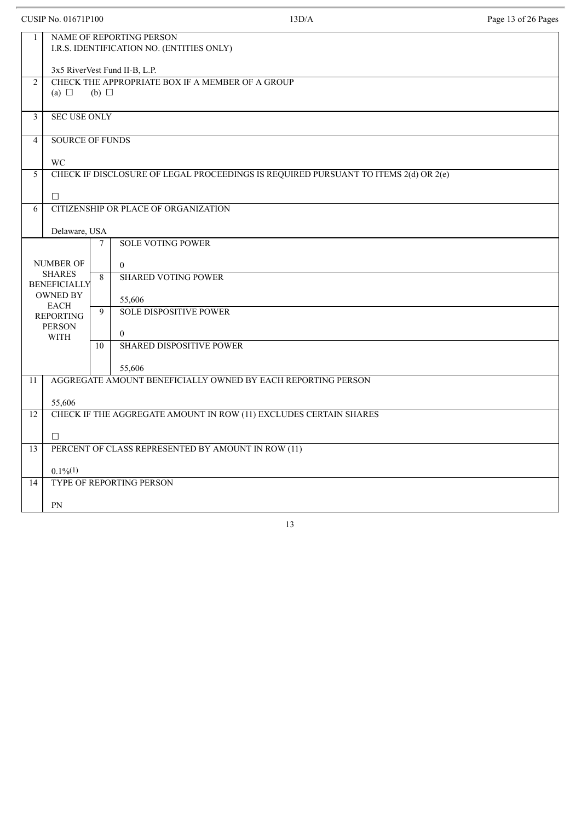|                         | <b>CUSIP No. 01671P100</b>                                            |            | 13D/A                                                                               | Page 13 of 26 Pages |  |  |  |
|-------------------------|-----------------------------------------------------------------------|------------|-------------------------------------------------------------------------------------|---------------------|--|--|--|
| 1                       | NAME OF REPORTING PERSON<br>I.R.S. IDENTIFICATION NO. (ENTITIES ONLY) |            |                                                                                     |                     |  |  |  |
|                         | 3x5 RiverVest Fund II-B, L.P.                                         |            |                                                                                     |                     |  |  |  |
| 2                       | (a) $\Box$                                                            | (b) $\Box$ | CHECK THE APPROPRIATE BOX IF A MEMBER OF A GROUP                                    |                     |  |  |  |
| $\overline{\mathbf{3}}$ | <b>SEC USE ONLY</b>                                                   |            |                                                                                     |                     |  |  |  |
| $\overline{4}$          | <b>SOURCE OF FUNDS</b>                                                |            |                                                                                     |                     |  |  |  |
|                         | WC                                                                    |            |                                                                                     |                     |  |  |  |
| 5                       |                                                                       |            | CHECK IF DISCLOSURE OF LEGAL PROCEEDINGS IS REQUIRED PURSUANT TO ITEMS 2(d) OR 2(e) |                     |  |  |  |
|                         | $\Box$                                                                |            |                                                                                     |                     |  |  |  |
| 6                       |                                                                       |            | CITIZENSHIP OR PLACE OF ORGANIZATION                                                |                     |  |  |  |
|                         | Delaware, USA                                                         |            |                                                                                     |                     |  |  |  |
|                         |                                                                       | 7          | <b>SOLE VOTING POWER</b>                                                            |                     |  |  |  |
|                         | <b>NUMBER OF</b>                                                      |            | $\overline{0}$                                                                      |                     |  |  |  |
|                         | <b>SHARES</b><br><b>BENEFICIALLY</b>                                  | 8          | <b>SHARED VOTING POWER</b>                                                          |                     |  |  |  |
|                         | <b>OWNED BY</b>                                                       |            | 55,606                                                                              |                     |  |  |  |
|                         | <b>EACH</b><br><b>REPORTING</b>                                       | 9          | <b>SOLE DISPOSITIVE POWER</b>                                                       |                     |  |  |  |
|                         | <b>PERSON</b><br><b>WITH</b>                                          |            | $\overline{0}$                                                                      |                     |  |  |  |
|                         |                                                                       | 10         | <b>SHARED DISPOSITIVE POWER</b>                                                     |                     |  |  |  |
|                         |                                                                       |            | 55,606                                                                              |                     |  |  |  |
| 11                      |                                                                       |            | AGGREGATE AMOUNT BENEFICIALLY OWNED BY EACH REPORTING PERSON                        |                     |  |  |  |
|                         | 55,606                                                                |            |                                                                                     |                     |  |  |  |
| 12                      |                                                                       |            | CHECK IF THE AGGREGATE AMOUNT IN ROW (11) EXCLUDES CERTAIN SHARES                   |                     |  |  |  |
|                         | $\Box$                                                                |            |                                                                                     |                     |  |  |  |
| 13                      |                                                                       |            | PERCENT OF CLASS REPRESENTED BY AMOUNT IN ROW (11)                                  |                     |  |  |  |
|                         | $0.1\%/1)$                                                            |            |                                                                                     |                     |  |  |  |
| 14                      |                                                                       |            | TYPE OF REPORTING PERSON                                                            |                     |  |  |  |
|                         |                                                                       |            |                                                                                     |                     |  |  |  |
|                         | PN                                                                    |            |                                                                                     |                     |  |  |  |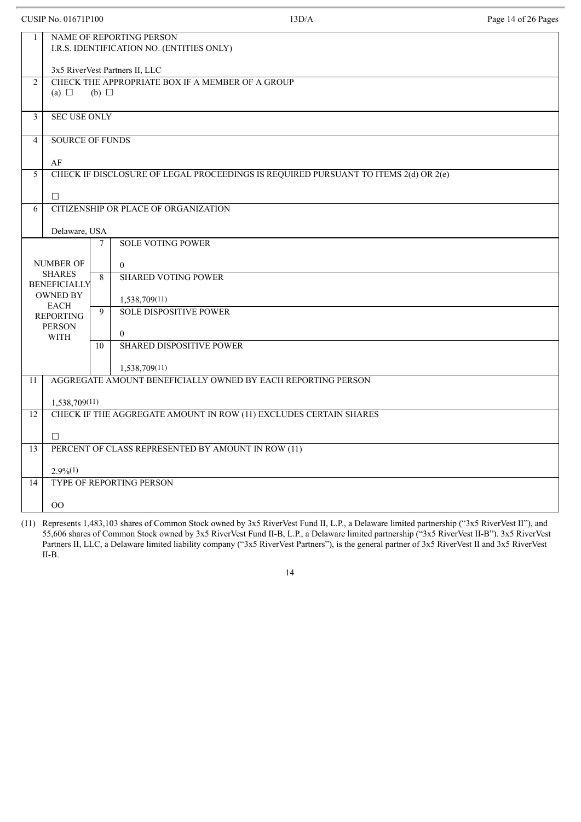|                                                          | <b>CUSIP No. 01671P100</b>                                                        |        | 13D/A                                                                               | Page 14 of 26 Pages |  |  |  |  |
|----------------------------------------------------------|-----------------------------------------------------------------------------------|--------|-------------------------------------------------------------------------------------|---------------------|--|--|--|--|
| $\mathbf{1}$                                             | NAME OF REPORTING PERSON<br>I.R.S. IDENTIFICATION NO. (ENTITIES ONLY)             |        |                                                                                     |                     |  |  |  |  |
|                                                          | 3x5 RiverVest Partners II, LLC                                                    |        |                                                                                     |                     |  |  |  |  |
| $\overline{2}$                                           | CHECK THE APPROPRIATE BOX IF A MEMBER OF A GROUP<br>(a) $\Box$<br>$(b)$ $\square$ |        |                                                                                     |                     |  |  |  |  |
| 3                                                        | <b>SEC USE ONLY</b>                                                               |        |                                                                                     |                     |  |  |  |  |
| $\overline{4}$                                           | <b>SOURCE OF FUNDS</b>                                                            |        |                                                                                     |                     |  |  |  |  |
|                                                          | AF                                                                                |        |                                                                                     |                     |  |  |  |  |
| 5                                                        |                                                                                   |        | CHECK IF DISCLOSURE OF LEGAL PROCEEDINGS IS REQUIRED PURSUANT TO ITEMS 2(d) OR 2(e) |                     |  |  |  |  |
|                                                          | $\Box$                                                                            |        |                                                                                     |                     |  |  |  |  |
| 6                                                        |                                                                                   |        | CITIZENSHIP OR PLACE OF ORGANIZATION                                                |                     |  |  |  |  |
|                                                          | Delaware, USA                                                                     |        |                                                                                     |                     |  |  |  |  |
|                                                          |                                                                                   | $\tau$ | <b>SOLE VOTING POWER</b>                                                            |                     |  |  |  |  |
| <b>NUMBER OF</b><br><b>SHARES</b><br><b>BENEFICIALLY</b> |                                                                                   | 8      | $\overline{0}$<br><b>SHARED VOTING POWER</b>                                        |                     |  |  |  |  |
|                                                          | <b>OWNED BY</b><br><b>EACH</b>                                                    |        | 1,538,709(11)                                                                       |                     |  |  |  |  |
|                                                          | <b>REPORTING</b>                                                                  | 9      | <b>SOLE DISPOSITIVE POWER</b>                                                       |                     |  |  |  |  |
|                                                          | <b>PERSON</b><br><b>WITH</b>                                                      |        | $\overline{0}$                                                                      |                     |  |  |  |  |
|                                                          |                                                                                   | 10     | <b>SHARED DISPOSITIVE POWER</b>                                                     |                     |  |  |  |  |
|                                                          |                                                                                   |        | 1,538,709(11)                                                                       |                     |  |  |  |  |
| 11                                                       |                                                                                   |        | AGGREGATE AMOUNT BENEFICIALLY OWNED BY EACH REPORTING PERSON                        |                     |  |  |  |  |
|                                                          | 1,538,709(11)                                                                     |        |                                                                                     |                     |  |  |  |  |
| 12                                                       |                                                                                   |        | CHECK IF THE AGGREGATE AMOUNT IN ROW (11) EXCLUDES CERTAIN SHARES                   |                     |  |  |  |  |
|                                                          | $\Box$                                                                            |        |                                                                                     |                     |  |  |  |  |
| 13                                                       |                                                                                   |        | PERCENT OF CLASS REPRESENTED BY AMOUNT IN ROW (11)                                  |                     |  |  |  |  |
|                                                          | $2.9\%(1)$                                                                        |        |                                                                                     |                     |  |  |  |  |
| 14                                                       |                                                                                   |        | <b>TYPE OF REPORTING PERSON</b>                                                     |                     |  |  |  |  |
|                                                          |                                                                                   |        |                                                                                     |                     |  |  |  |  |
|                                                          | $00\,$                                                                            |        |                                                                                     |                     |  |  |  |  |

(11) Represents 1,483,103 shares of Common Stock owned by 3x5 RiverVest Fund II, L.P., a Delaware limited partnership ("3x5 RiverVest II"), and 55,606 shares of Common Stock owned by 3x5 RiverVest Fund II-B, L.P., a Delaware limited partnership ("3x5 RiverVest II-B"). 3x5 RiverVest Partners II, LLC, a Delaware limited liability company ("3x5 RiverVest Partners"), is the general partner of 3x5 RiverVest II and 3x5 RiverVest II-B.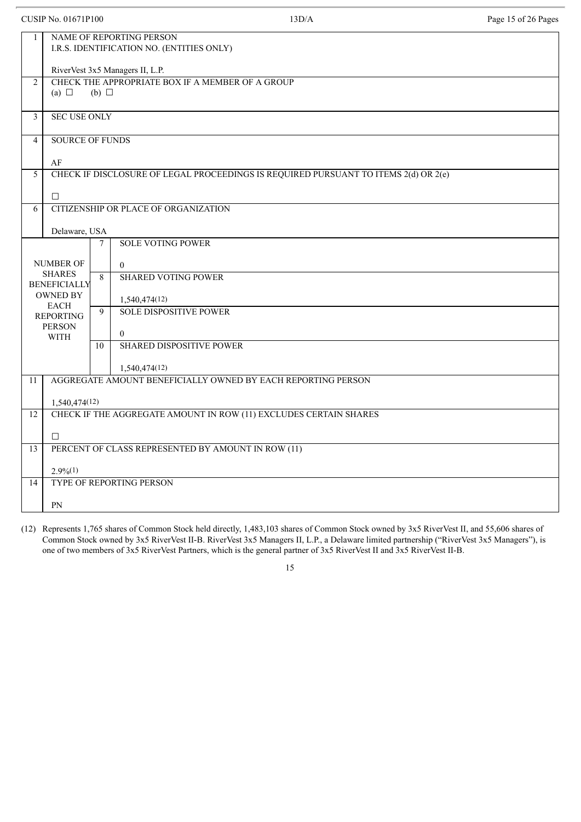| <b>CUSIP No. 01671P100</b> |                                                                                   |                        | 13D/A                                                                               | Page 15 of 26 Pages |  |  |  |
|----------------------------|-----------------------------------------------------------------------------------|------------------------|-------------------------------------------------------------------------------------|---------------------|--|--|--|
| $\mathbf{1}$               |                                                                                   |                        | NAME OF REPORTING PERSON<br>I.R.S. IDENTIFICATION NO. (ENTITIES ONLY)               |                     |  |  |  |
|                            | RiverVest 3x5 Managers II, L.P.                                                   |                        |                                                                                     |                     |  |  |  |
| $\overline{2}$             | CHECK THE APPROPRIATE BOX IF A MEMBER OF A GROUP<br>(a) $\Box$<br>$(b)$ $\square$ |                        |                                                                                     |                     |  |  |  |
| $\mathfrak{Z}$             | <b>SEC USE ONLY</b>                                                               |                        |                                                                                     |                     |  |  |  |
| $\overline{4}$             |                                                                                   | <b>SOURCE OF FUNDS</b> |                                                                                     |                     |  |  |  |
|                            | AF                                                                                |                        |                                                                                     |                     |  |  |  |
| 5                          |                                                                                   |                        | CHECK IF DISCLOSURE OF LEGAL PROCEEDINGS IS REQUIRED PURSUANT TO ITEMS 2(d) OR 2(e) |                     |  |  |  |
|                            | $\Box$                                                                            |                        |                                                                                     |                     |  |  |  |
| 6                          |                                                                                   |                        | CITIZENSHIP OR PLACE OF ORGANIZATION                                                |                     |  |  |  |
|                            | Delaware, USA                                                                     | 7                      | <b>SOLE VOTING POWER</b>                                                            |                     |  |  |  |
|                            |                                                                                   |                        |                                                                                     |                     |  |  |  |
| <b>NUMBER OF</b>           |                                                                                   | 8                      | $\overline{0}$                                                                      |                     |  |  |  |
|                            | <b>SHARES</b><br><b>BENEFICIALLY</b>                                              |                        | <b>SHARED VOTING POWER</b>                                                          |                     |  |  |  |
|                            | <b>OWNED BY</b><br><b>EACH</b>                                                    |                        | 1,540,474(12)                                                                       |                     |  |  |  |
|                            | <b>REPORTING</b>                                                                  | 9                      | <b>SOLE DISPOSITIVE POWER</b>                                                       |                     |  |  |  |
|                            | <b>PERSON</b><br><b>WITH</b>                                                      |                        | $\overline{0}$                                                                      |                     |  |  |  |
|                            |                                                                                   | 10                     | <b>SHARED DISPOSITIVE POWER</b>                                                     |                     |  |  |  |
|                            |                                                                                   |                        | 1,540,474(12)                                                                       |                     |  |  |  |
| 11                         |                                                                                   |                        | AGGREGATE AMOUNT BENEFICIALLY OWNED BY EACH REPORTING PERSON                        |                     |  |  |  |
|                            | 1,540,474(12)                                                                     |                        |                                                                                     |                     |  |  |  |
| 12                         |                                                                                   |                        | CHECK IF THE AGGREGATE AMOUNT IN ROW (11) EXCLUDES CERTAIN SHARES                   |                     |  |  |  |
|                            | $\Box$                                                                            |                        |                                                                                     |                     |  |  |  |
| 13                         |                                                                                   |                        | PERCENT OF CLASS REPRESENTED BY AMOUNT IN ROW (11)                                  |                     |  |  |  |
|                            | $2.9\frac{6(1)}{6}$                                                               |                        |                                                                                     |                     |  |  |  |
| 14                         |                                                                                   |                        | TYPE OF REPORTING PERSON                                                            |                     |  |  |  |
|                            | PN                                                                                |                        |                                                                                     |                     |  |  |  |

(12) Represents 1,765 shares of Common Stock held directly, 1,483,103 shares of Common Stock owned by 3x5 RiverVest II, and 55,606 shares of Common Stock owned by 3x5 RiverVest II-B. RiverVest 3x5 Managers II, L.P., a Delaware limited partnership ("RiverVest 3x5 Managers"), is one of two members of 3x5 RiverVest Partners, which is the general partner of 3x5 RiverVest II and 3x5 RiverVest II-B.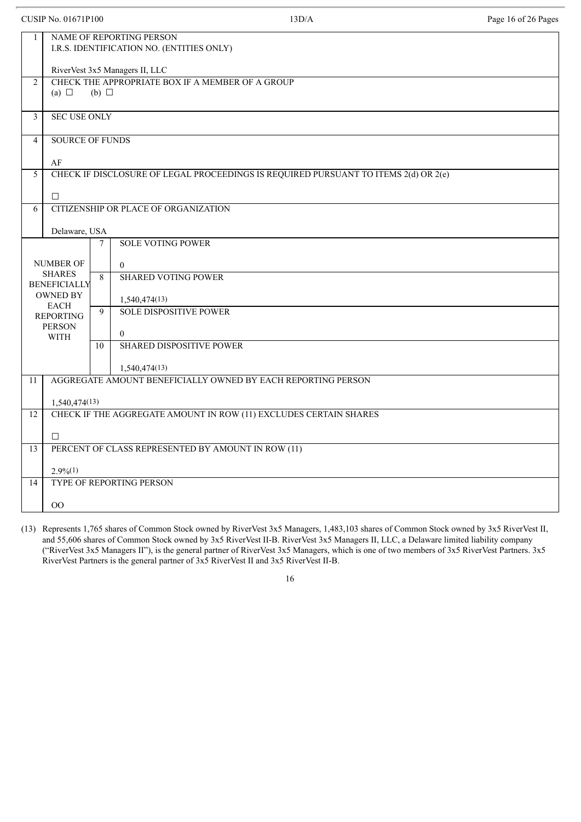|                | <b>CUSIP No. 01671P100</b>                                                        |    | 13D/A                                                                               | Page 16 of 26 Pages |  |  |  |  |
|----------------|-----------------------------------------------------------------------------------|----|-------------------------------------------------------------------------------------|---------------------|--|--|--|--|
| $\mathbf{1}$   | NAME OF REPORTING PERSON<br>I.R.S. IDENTIFICATION NO. (ENTITIES ONLY)             |    |                                                                                     |                     |  |  |  |  |
|                | RiverVest 3x5 Managers II, LLC                                                    |    |                                                                                     |                     |  |  |  |  |
| $\overline{2}$ | CHECK THE APPROPRIATE BOX IF A MEMBER OF A GROUP<br>(a) $\Box$<br>$(b)$ $\square$ |    |                                                                                     |                     |  |  |  |  |
| 3              | <b>SEC USE ONLY</b>                                                               |    |                                                                                     |                     |  |  |  |  |
| $\overline{4}$ | <b>SOURCE OF FUNDS</b>                                                            |    |                                                                                     |                     |  |  |  |  |
|                | AF                                                                                |    |                                                                                     |                     |  |  |  |  |
| 5              |                                                                                   |    | CHECK IF DISCLOSURE OF LEGAL PROCEEDINGS IS REQUIRED PURSUANT TO ITEMS 2(d) OR 2(e) |                     |  |  |  |  |
|                | $\Box$                                                                            |    |                                                                                     |                     |  |  |  |  |
| 6              |                                                                                   |    | CITIZENSHIP OR PLACE OF ORGANIZATION                                                |                     |  |  |  |  |
|                | Delaware, USA                                                                     |    |                                                                                     |                     |  |  |  |  |
|                | <b>SOLE VOTING POWER</b><br>7                                                     |    |                                                                                     |                     |  |  |  |  |
|                | <b>NUMBER OF</b>                                                                  |    | $\overline{0}$                                                                      |                     |  |  |  |  |
|                | <b>SHARES</b><br><b>BENEFICIALLY</b>                                              | 8  | <b>SHARED VOTING POWER</b>                                                          |                     |  |  |  |  |
|                | <b>OWNED BY</b>                                                                   |    | 1,540,474(13)                                                                       |                     |  |  |  |  |
|                | <b>EACH</b><br><b>REPORTING</b>                                                   | 9  | <b>SOLE DISPOSITIVE POWER</b>                                                       |                     |  |  |  |  |
|                | <b>PERSON</b>                                                                     |    |                                                                                     |                     |  |  |  |  |
|                | <b>WITH</b>                                                                       | 10 | $\overline{0}$<br><b>SHARED DISPOSITIVE POWER</b>                                   |                     |  |  |  |  |
|                |                                                                                   |    |                                                                                     |                     |  |  |  |  |
|                |                                                                                   |    | 1,540,474(13)                                                                       |                     |  |  |  |  |
| 11             |                                                                                   |    | AGGREGATE AMOUNT BENEFICIALLY OWNED BY EACH REPORTING PERSON                        |                     |  |  |  |  |
|                | 1,540,474(13)                                                                     |    |                                                                                     |                     |  |  |  |  |
| 12             |                                                                                   |    | CHECK IF THE AGGREGATE AMOUNT IN ROW (11) EXCLUDES CERTAIN SHARES                   |                     |  |  |  |  |
|                | $\Box$                                                                            |    |                                                                                     |                     |  |  |  |  |
| 13             |                                                                                   |    | PERCENT OF CLASS REPRESENTED BY AMOUNT IN ROW (11)                                  |                     |  |  |  |  |
|                | $2.9\%(1)$                                                                        |    |                                                                                     |                     |  |  |  |  |
| 14             |                                                                                   |    | TYPE OF REPORTING PERSON                                                            |                     |  |  |  |  |
|                | 00                                                                                |    |                                                                                     |                     |  |  |  |  |
|                |                                                                                   |    |                                                                                     |                     |  |  |  |  |

(13) Represents 1,765 shares of Common Stock owned by RiverVest 3x5 Managers, 1,483,103 shares of Common Stock owned by 3x5 RiverVest II, and 55,606 shares of Common Stock owned by 3x5 RiverVest II-B. RiverVest 3x5 Managers II, LLC, a Delaware limited liability company ("RiverVest 3x5 Managers II"), is the general partner of RiverVest 3x5 Managers, which is one of two members of 3x5 RiverVest Partners. 3x5 RiverVest Partners is the general partner of 3x5 RiverVest II and 3x5 RiverVest II-B.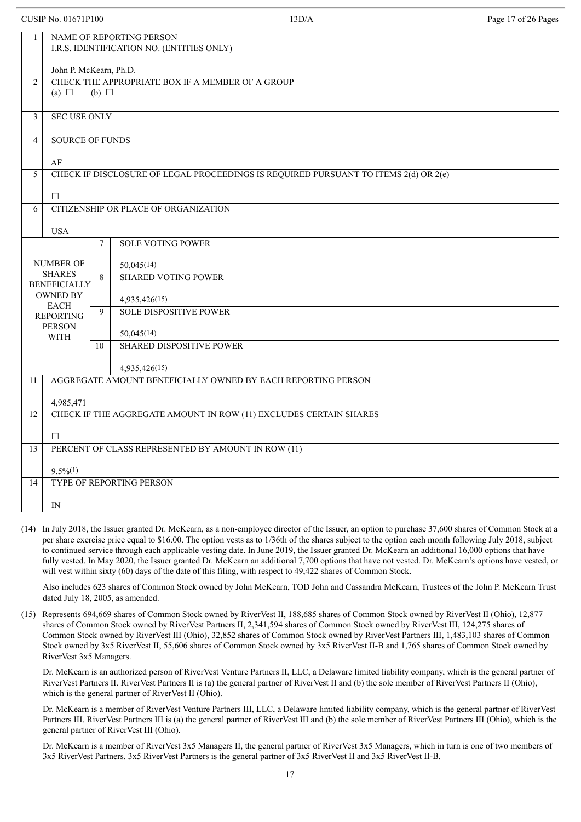|                                        | <b>CUSIP No. 01671P100</b>                                                        |        | 13D/A                                                                               | Page 17 of 26 Pages |  |  |  |  |
|----------------------------------------|-----------------------------------------------------------------------------------|--------|-------------------------------------------------------------------------------------|---------------------|--|--|--|--|
| 1                                      | NAME OF REPORTING PERSON<br>I.R.S. IDENTIFICATION NO. (ENTITIES ONLY)             |        |                                                                                     |                     |  |  |  |  |
|                                        | John P. McKearn, Ph.D.                                                            |        |                                                                                     |                     |  |  |  |  |
| $\overline{2}$                         | CHECK THE APPROPRIATE BOX IF A MEMBER OF A GROUP<br>(a) $\Box$<br>$(b)$ $\square$ |        |                                                                                     |                     |  |  |  |  |
| $\overline{\mathbf{3}}$                | <b>SEC USE ONLY</b>                                                               |        |                                                                                     |                     |  |  |  |  |
| $\overline{4}$                         | <b>SOURCE OF FUNDS</b>                                                            |        |                                                                                     |                     |  |  |  |  |
|                                        | AF                                                                                |        |                                                                                     |                     |  |  |  |  |
| 5                                      |                                                                                   |        | CHECK IF DISCLOSURE OF LEGAL PROCEEDINGS IS REQUIRED PURSUANT TO ITEMS 2(d) OR 2(e) |                     |  |  |  |  |
|                                        | $\Box$                                                                            |        |                                                                                     |                     |  |  |  |  |
| 6                                      |                                                                                   |        | CITIZENSHIP OR PLACE OF ORGANIZATION                                                |                     |  |  |  |  |
|                                        | <b>USA</b>                                                                        |        |                                                                                     |                     |  |  |  |  |
|                                        |                                                                                   | $\tau$ | <b>SOLE VOTING POWER</b>                                                            |                     |  |  |  |  |
|                                        | NUMBER OF<br>50,045(14)                                                           |        |                                                                                     |                     |  |  |  |  |
|                                        | <b>SHARES</b>                                                                     | 8      | <b>SHARED VOTING POWER</b>                                                          |                     |  |  |  |  |
| <b>BENEFICIALLY</b><br><b>OWNED BY</b> |                                                                                   |        | 4,935,426(15)                                                                       |                     |  |  |  |  |
|                                        | <b>EACH</b><br><b>REPORTING</b>                                                   | 9      | <b>SOLE DISPOSITIVE POWER</b>                                                       |                     |  |  |  |  |
|                                        | <b>PERSON</b>                                                                     |        |                                                                                     |                     |  |  |  |  |
|                                        | <b>WITH</b>                                                                       | 10     | 50,045(14)<br><b>SHARED DISPOSITIVE POWER</b>                                       |                     |  |  |  |  |
|                                        |                                                                                   |        |                                                                                     |                     |  |  |  |  |
|                                        |                                                                                   |        | 4,935,426(15)<br>AGGREGATE AMOUNT BENEFICIALLY OWNED BY EACH REPORTING PERSON       |                     |  |  |  |  |
| 11                                     |                                                                                   |        |                                                                                     |                     |  |  |  |  |
|                                        | 4,985,471                                                                         |        |                                                                                     |                     |  |  |  |  |
| 12                                     |                                                                                   |        | CHECK IF THE AGGREGATE AMOUNT IN ROW (11) EXCLUDES CERTAIN SHARES                   |                     |  |  |  |  |
|                                        | $\Box$                                                                            |        |                                                                                     |                     |  |  |  |  |
| 13                                     |                                                                                   |        | PERCENT OF CLASS REPRESENTED BY AMOUNT IN ROW (11)                                  |                     |  |  |  |  |
|                                        | $9.5\%(1)$                                                                        |        |                                                                                     |                     |  |  |  |  |
| 14                                     |                                                                                   |        | TYPE OF REPORTING PERSON                                                            |                     |  |  |  |  |
|                                        | IN                                                                                |        |                                                                                     |                     |  |  |  |  |
|                                        |                                                                                   |        |                                                                                     |                     |  |  |  |  |

(14) In July 2018, the Issuer granted Dr. McKearn, as a non-employee director of the Issuer, an option to purchase 37,600 shares of Common Stock at a per share exercise price equal to \$16.00. The option vests as to 1/36th of the shares subject to the option each month following July 2018, subject to continued service through each applicable vesting date. In June 2019, the Issuer granted Dr. McKearn an additional 16,000 options that have fully vested. In May 2020, the Issuer granted Dr. McKearn an additional 7,700 options that have not vested. Dr. McKearn's options have vested, or will vest within sixty (60) days of the date of this filing, with respect to 49,422 shares of Common Stock.

Also includes 623 shares of Common Stock owned by John McKearn, TOD John and Cassandra McKearn, Trustees of the John P. McKearn Trust dated July 18, 2005, as amended.

(15) Represents 694,669 shares of Common Stock owned by RiverVest II, 188,685 shares of Common Stock owned by RiverVest II (Ohio), 12,877 shares of Common Stock owned by RiverVest Partners II, 2,341,594 shares of Common Stock owned by RiverVest III, 124,275 shares of Common Stock owned by RiverVest III (Ohio), 32,852 shares of Common Stock owned by RiverVest Partners III, 1,483,103 shares of Common Stock owned by 3x5 RiverVest II, 55,606 shares of Common Stock owned by 3x5 RiverVest II-B and 1,765 shares of Common Stock owned by RiverVest 3x5 Managers.

Dr. McKearn is an authorized person of RiverVest Venture Partners II, LLC, a Delaware limited liability company, which is the general partner of RiverVest Partners II. RiverVest Partners II is (a) the general partner of RiverVest II and (b) the sole member of RiverVest Partners II (Ohio), which is the general partner of RiverVest II (Ohio).

Dr. McKearn is a member of RiverVest Venture Partners III, LLC, a Delaware limited liability company, which is the general partner of RiverVest Partners III. RiverVest Partners III is (a) the general partner of RiverVest III and (b) the sole member of RiverVest Partners III (Ohio), which is the general partner of RiverVest III (Ohio).

Dr. McKearn is a member of RiverVest 3x5 Managers II, the general partner of RiverVest 3x5 Managers, which in turn is one of two members of 3x5 RiverVest Partners. 3x5 RiverVest Partners is the general partner of 3x5 RiverVest II and 3x5 RiverVest II-B.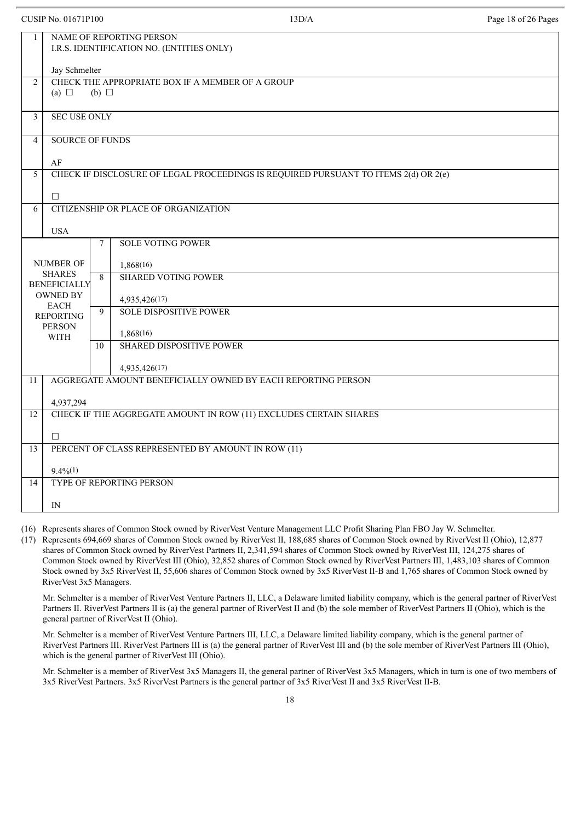|                                      | <b>CUSIP No. 01671P100</b>                                                   |    | 13D/A                                                                               | Page 18 of 26 Pages |  |  |  |  |
|--------------------------------------|------------------------------------------------------------------------------|----|-------------------------------------------------------------------------------------|---------------------|--|--|--|--|
| 1                                    | NAME OF REPORTING PERSON<br>I.R.S. IDENTIFICATION NO. (ENTITIES ONLY)        |    |                                                                                     |                     |  |  |  |  |
|                                      | Jay Schmelter                                                                |    |                                                                                     |                     |  |  |  |  |
| $\overline{2}$                       | CHECK THE APPROPRIATE BOX IF A MEMBER OF A GROUP<br>(a) $\Box$<br>(b) $\Box$ |    |                                                                                     |                     |  |  |  |  |
| $\overline{\mathbf{3}}$              | <b>SEC USE ONLY</b>                                                          |    |                                                                                     |                     |  |  |  |  |
| $\overline{4}$                       | <b>SOURCE OF FUNDS</b>                                                       |    |                                                                                     |                     |  |  |  |  |
|                                      | AF                                                                           |    |                                                                                     |                     |  |  |  |  |
| 5                                    |                                                                              |    | CHECK IF DISCLOSURE OF LEGAL PROCEEDINGS IS REQUIRED PURSUANT TO ITEMS 2(d) OR 2(e) |                     |  |  |  |  |
|                                      | $\Box$                                                                       |    |                                                                                     |                     |  |  |  |  |
| 6                                    |                                                                              |    | CITIZENSHIP OR PLACE OF ORGANIZATION                                                |                     |  |  |  |  |
|                                      | <b>USA</b>                                                                   |    |                                                                                     |                     |  |  |  |  |
|                                      | <b>SOLE VOTING POWER</b><br>$\tau$                                           |    |                                                                                     |                     |  |  |  |  |
|                                      | <b>NUMBER OF</b>                                                             |    | 1,868(16)                                                                           |                     |  |  |  |  |
| <b>SHARES</b><br><b>BENEFICIALLY</b> |                                                                              | 8  | <b>SHARED VOTING POWER</b>                                                          |                     |  |  |  |  |
|                                      | <b>OWNED BY</b>                                                              |    | 4,935,426(17)                                                                       |                     |  |  |  |  |
|                                      | <b>EACH</b><br><b>REPORTING</b>                                              | 9  | <b>SOLE DISPOSITIVE POWER</b>                                                       |                     |  |  |  |  |
|                                      | <b>PERSON</b>                                                                |    | 1,868(16)                                                                           |                     |  |  |  |  |
|                                      | <b>WITH</b>                                                                  | 10 | <b>SHARED DISPOSITIVE POWER</b>                                                     |                     |  |  |  |  |
|                                      |                                                                              |    | 4,935,426(17)                                                                       |                     |  |  |  |  |
| 11                                   |                                                                              |    | AGGREGATE AMOUNT BENEFICIALLY OWNED BY EACH REPORTING PERSON                        |                     |  |  |  |  |
|                                      | 4,937,294                                                                    |    |                                                                                     |                     |  |  |  |  |
| 12                                   |                                                                              |    | CHECK IF THE AGGREGATE AMOUNT IN ROW (11) EXCLUDES CERTAIN SHARES                   |                     |  |  |  |  |
|                                      | $\Box$                                                                       |    |                                                                                     |                     |  |  |  |  |
| 13                                   |                                                                              |    | PERCENT OF CLASS REPRESENTED BY AMOUNT IN ROW (11)                                  |                     |  |  |  |  |
|                                      | $9.4\%/1)$                                                                   |    |                                                                                     |                     |  |  |  |  |
| 14                                   |                                                                              |    | TYPE OF REPORTING PERSON                                                            |                     |  |  |  |  |
|                                      | IN                                                                           |    |                                                                                     |                     |  |  |  |  |
|                                      |                                                                              |    |                                                                                     |                     |  |  |  |  |

(16) Represents shares of Common Stock owned by RiverVest Venture Management LLC Profit Sharing Plan FBO Jay W. Schmelter.

(17) Represents 694,669 shares of Common Stock owned by RiverVest II, 188,685 shares of Common Stock owned by RiverVest II (Ohio), 12,877 shares of Common Stock owned by RiverVest Partners II, 2,341,594 shares of Common Stock owned by RiverVest III, 124,275 shares of Common Stock owned by RiverVest III (Ohio), 32,852 shares of Common Stock owned by RiverVest Partners III, 1,483,103 shares of Common Stock owned by 3x5 RiverVest II, 55,606 shares of Common Stock owned by 3x5 RiverVest II-B and 1,765 shares of Common Stock owned by RiverVest 3x5 Managers.

Mr. Schmelter is a member of RiverVest Venture Partners II, LLC, a Delaware limited liability company, which is the general partner of RiverVest Partners II. RiverVest Partners II is (a) the general partner of RiverVest II and (b) the sole member of RiverVest Partners II (Ohio), which is the general partner of RiverVest II (Ohio).

Mr. Schmelter is a member of RiverVest Venture Partners III, LLC, a Delaware limited liability company, which is the general partner of RiverVest Partners III. RiverVest Partners III is (a) the general partner of RiverVest III and (b) the sole member of RiverVest Partners III (Ohio), which is the general partner of RiverVest III (Ohio).

Mr. Schmelter is a member of RiverVest 3x5 Managers II, the general partner of RiverVest 3x5 Managers, which in turn is one of two members of 3x5 RiverVest Partners. 3x5 RiverVest Partners is the general partner of 3x5 RiverVest II and 3x5 RiverVest II-B.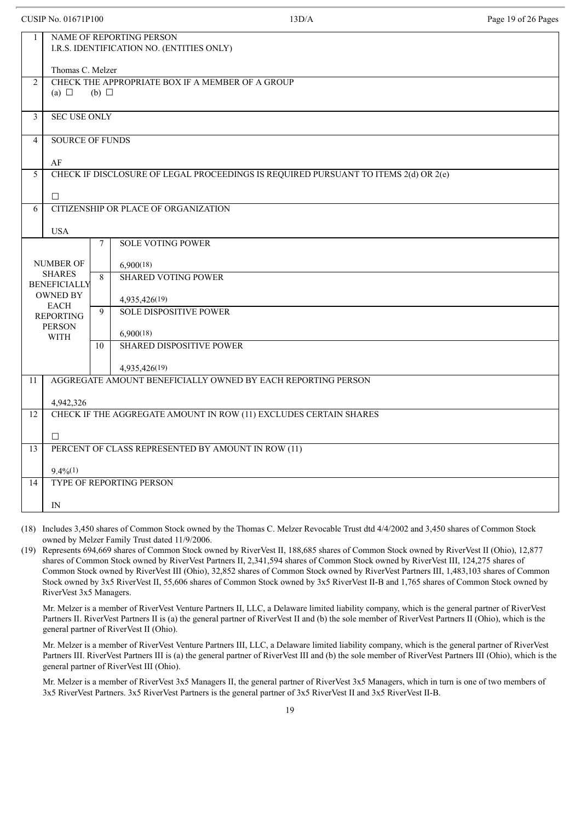|                               | <b>CUSIP No. 01671P100</b>                                                   |    | 13D/A                                                                               | Page 19 of 26 Pages |  |  |  |  |
|-------------------------------|------------------------------------------------------------------------------|----|-------------------------------------------------------------------------------------|---------------------|--|--|--|--|
| 1                             | NAME OF REPORTING PERSON<br>I.R.S. IDENTIFICATION NO. (ENTITIES ONLY)        |    |                                                                                     |                     |  |  |  |  |
|                               | Thomas C. Melzer                                                             |    |                                                                                     |                     |  |  |  |  |
| $\overline{2}$                | CHECK THE APPROPRIATE BOX IF A MEMBER OF A GROUP<br>(a) $\Box$<br>(b) $\Box$ |    |                                                                                     |                     |  |  |  |  |
| $\mathfrak{Z}$                | <b>SEC USE ONLY</b>                                                          |    |                                                                                     |                     |  |  |  |  |
| $\overline{4}$                | <b>SOURCE OF FUNDS</b>                                                       |    |                                                                                     |                     |  |  |  |  |
|                               | AF                                                                           |    |                                                                                     |                     |  |  |  |  |
| 5                             |                                                                              |    | CHECK IF DISCLOSURE OF LEGAL PROCEEDINGS IS REQUIRED PURSUANT TO ITEMS 2(d) OR 2(e) |                     |  |  |  |  |
|                               | $\Box$                                                                       |    |                                                                                     |                     |  |  |  |  |
| 6                             |                                                                              |    | CITIZENSHIP OR PLACE OF ORGANIZATION                                                |                     |  |  |  |  |
|                               | <b>USA</b>                                                                   |    |                                                                                     |                     |  |  |  |  |
|                               | <b>SOLE VOTING POWER</b><br>7                                                |    |                                                                                     |                     |  |  |  |  |
| <b>NUMBER OF</b><br>6,900(18) |                                                                              |    |                                                                                     |                     |  |  |  |  |
| <b>SHARES</b>                 |                                                                              | 8  | <b>SHARED VOTING POWER</b>                                                          |                     |  |  |  |  |
|                               | <b>BENEFICIALLY</b><br><b>OWNED BY</b>                                       |    |                                                                                     |                     |  |  |  |  |
|                               | <b>EACH</b>                                                                  | 9  | 4,935,426(19)<br><b>SOLE DISPOSITIVE POWER</b>                                      |                     |  |  |  |  |
|                               | <b>REPORTING</b><br><b>PERSON</b>                                            |    |                                                                                     |                     |  |  |  |  |
|                               | <b>WITH</b>                                                                  | 10 | 6,900(18)<br><b>SHARED DISPOSITIVE POWER</b>                                        |                     |  |  |  |  |
|                               |                                                                              |    |                                                                                     |                     |  |  |  |  |
|                               |                                                                              |    | 4,935,426(19)                                                                       |                     |  |  |  |  |
| 11                            |                                                                              |    | AGGREGATE AMOUNT BENEFICIALLY OWNED BY EACH REPORTING PERSON                        |                     |  |  |  |  |
|                               | 4,942,326                                                                    |    |                                                                                     |                     |  |  |  |  |
| 12                            |                                                                              |    | CHECK IF THE AGGREGATE AMOUNT IN ROW (11) EXCLUDES CERTAIN SHARES                   |                     |  |  |  |  |
|                               | $\Box$                                                                       |    |                                                                                     |                     |  |  |  |  |
| 13                            |                                                                              |    | PERCENT OF CLASS REPRESENTED BY AMOUNT IN ROW (11)                                  |                     |  |  |  |  |
|                               | $9.4\%/1)$                                                                   |    |                                                                                     |                     |  |  |  |  |
| 14                            |                                                                              |    | TYPE OF REPORTING PERSON                                                            |                     |  |  |  |  |
|                               | IN                                                                           |    |                                                                                     |                     |  |  |  |  |
|                               |                                                                              |    |                                                                                     |                     |  |  |  |  |

(18) Includes 3,450 shares of Common Stock owned by the Thomas C. Melzer Revocable Trust dtd 4/4/2002 and 3,450 shares of Common Stock owned by Melzer Family Trust dated 11/9/2006.

(19) Represents 694,669 shares of Common Stock owned by RiverVest II, 188,685 shares of Common Stock owned by RiverVest II (Ohio), 12,877 shares of Common Stock owned by RiverVest Partners II, 2,341,594 shares of Common Stock owned by RiverVest III, 124,275 shares of Common Stock owned by RiverVest III (Ohio), 32,852 shares of Common Stock owned by RiverVest Partners III, 1,483,103 shares of Common Stock owned by 3x5 RiverVest II, 55,606 shares of Common Stock owned by 3x5 RiverVest II-B and 1,765 shares of Common Stock owned by RiverVest 3x5 Managers.

Mr. Melzer is a member of RiverVest Venture Partners II, LLC, a Delaware limited liability company, which is the general partner of RiverVest Partners II. RiverVest Partners II is (a) the general partner of RiverVest II and (b) the sole member of RiverVest Partners II (Ohio), which is the general partner of RiverVest II (Ohio).

Mr. Melzer is a member of RiverVest Venture Partners III, LLC, a Delaware limited liability company, which is the general partner of RiverVest Partners III. RiverVest Partners III is (a) the general partner of RiverVest III and (b) the sole member of RiverVest Partners III (Ohio), which is the general partner of RiverVest III (Ohio).

Mr. Melzer is a member of RiverVest 3x5 Managers II, the general partner of RiverVest 3x5 Managers, which in turn is one of two members of 3x5 RiverVest Partners. 3x5 RiverVest Partners is the general partner of 3x5 RiverVest II and 3x5 RiverVest II-B.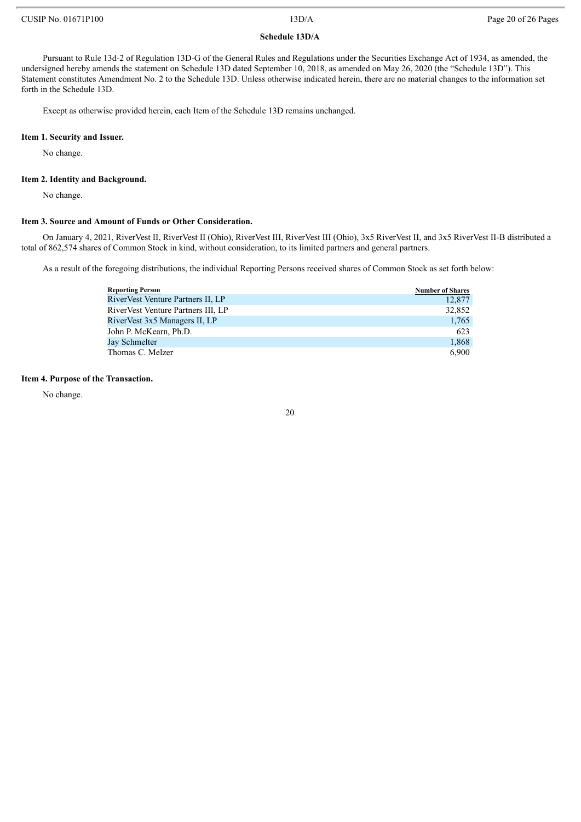# **Schedule 13D/A**

Pursuant to Rule 13d-2 of Regulation 13D-G of the General Rules and Regulations under the Securities Exchange Act of 1934, as amended, the undersigned hereby amends the statement on Schedule 13D dated September 10, 2018, as amended on May 26, 2020 (the "Schedule 13D"). This Statement constitutes Amendment No. 2 to the Schedule 13D. Unless otherwise indicated herein, there are no material changes to the information set forth in the Schedule 13D.

Except as otherwise provided herein, each Item of the Schedule 13D remains unchanged.

### **Item 1. Security and Issuer.**

No change.

### **Item 2. Identity and Background.**

No change.

### **Item 3. Source and Amount of Funds or Other Consideration.**

On January 4, 2021, RiverVest II, RiverVest II (Ohio), RiverVest III, RiverVest III (Ohio), 3x5 RiverVest II, and 3x5 RiverVest II-B distributed a total of 862,574 shares of Common Stock in kind, without consideration, to its limited partners and general partners.

As a result of the foregoing distributions, the individual Reporting Persons received shares of Common Stock as set forth below:

| <b>Reporting Person</b>            | <b>Number of Shares</b> |
|------------------------------------|-------------------------|
| RiverVest Venture Partners II, LP  | 12,877                  |
| RiverVest Venture Partners III, LP | 32,852                  |
| RiverVest 3x5 Managers II, LP      | 1,765                   |
| John P. McKearn, Ph.D.             | 623                     |
| Jay Schmelter                      | 1,868                   |
| Thomas C. Melzer                   | 6.900                   |

# **Item 4. Purpose of the Transaction.**

No change.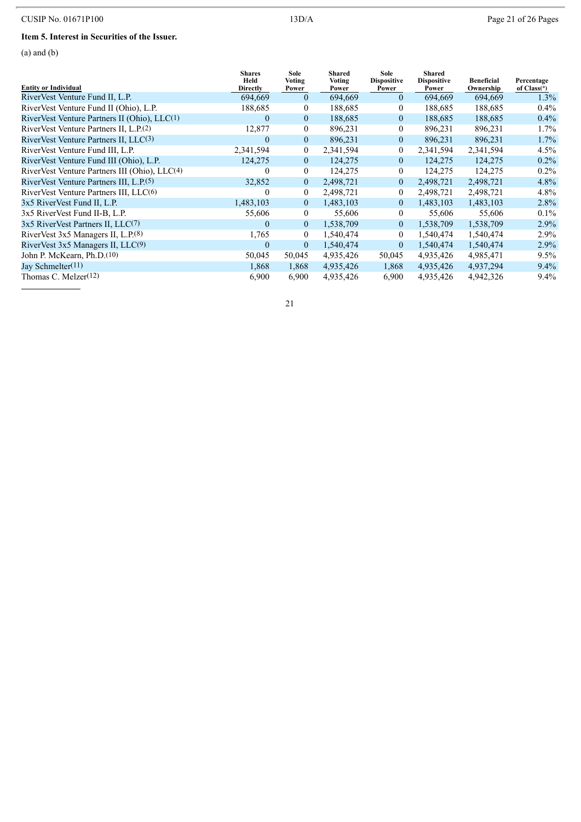# CUSIP No. 01671P100 13D/A Page 21 of 26 Pages

# **Item 5. Interest in Securities of the Issuer.**

(a) and (b)

| <b>Entity or Individual</b>                               | <b>Shares</b><br>Held<br><b>Directly</b> | Sole<br>Voting<br>Power | Shared<br><b>Voting</b><br>Power | Sole<br><b>Dispositive</b><br>Power | Shared<br><b>Dispositive</b><br>Power | <b>Beneficial</b><br>Ownership | Percentage<br>of $Class(*)$ |
|-----------------------------------------------------------|------------------------------------------|-------------------------|----------------------------------|-------------------------------------|---------------------------------------|--------------------------------|-----------------------------|
| RiverVest Venture Fund II, L.P.                           | 694,669                                  | $\mathbf{0}$            | 694,669                          | $\theta$                            | 694,669                               | 694,669                        | $1.3\%$                     |
| RiverVest Venture Fund II (Ohio), L.P.                    | 188,685                                  | $\mathbf{0}$            | 188,685                          | $\overline{0}$                      | 188,685                               | 188,685                        | $0.4\%$                     |
| RiverVest Venture Partners II (Ohio), LLC(1)              | $\overline{0}$                           | $\overline{0}$          | 188,685                          | $\overline{0}$                      | 188,685                               | 188,685                        | $0.4\%$                     |
| RiverVest Venture Partners II, L.P.(2)                    | 12,877                                   | $\mathbf{0}$            | 896,231                          | $\overline{0}$                      | 896,231                               | 896,231                        | $1.7\%$                     |
| RiverVest Venture Partners II, LLC(3)                     | $\overline{0}$                           | $\mathbf{0}$            | 896,231                          | $\overline{0}$                      | 896,231                               | 896,231                        | $1.7\%$                     |
| RiverVest Venture Fund III, L.P.                          | 2,341,594                                | $\mathbf{0}$            | 2,341,594                        | $\overline{0}$                      | 2,341,594                             | 2,341,594                      | $4.5\%$                     |
| RiverVest Venture Fund III (Ohio), L.P.                   | 124,275                                  | $\mathbf{0}$            | 124,275                          | $\overline{0}$                      | 124,275                               | 124,275                        | $0.2\%$                     |
| RiverVest Venture Partners III (Ohio), LLC <sup>(4)</sup> | $\theta$                                 | $\overline{0}$          | 124,275                          | $\theta$                            | 124,275                               | 124,275                        | $0.2\%$                     |
| RiverVest Venture Partners III, L.P. <sup>(5)</sup>       | 32,852                                   | $\overline{0}$          | 2,498,721                        | $\overline{0}$                      | 2,498,721                             | 2,498,721                      | $4.8\%$                     |
| RiverVest Venture Partners III, LLC(6)                    | $\mathbf{0}$                             | $\mathbf{0}$            | 2,498,721                        | $\overline{0}$                      | 2,498,721                             | 2,498,721                      | $4.8\%$                     |
| 3x5 RiverVest Fund II, L.P.                               | 1,483,103                                | $\mathbf{0}$            | 1,483,103                        | $\overline{0}$                      | 1,483,103                             | 1,483,103                      | $2.8\%$                     |
| 3x5 RiverVest Fund II-B, L.P.                             | 55,606                                   | $\overline{0}$          | 55,606                           | $\overline{0}$                      | 55,606                                | 55,606                         | $0.1\%$                     |
| 3x5 RiverVest Partners II, LLC(7)                         | $\overline{0}$                           | $\mathbf{0}$            | 1,538,709                        | $\overline{0}$                      | 1,538,709                             | 1,538,709                      | $2.9\%$                     |
| RiverVest $3x5$ Managers II, L.P. $(8)$                   | 1,765                                    | $\mathbf{0}$            | 1,540,474                        | $\theta$                            | 1,540,474                             | 1,540,474                      | $2.9\%$                     |
| RiverVest $3x5$ Managers II, LLC $(9)$                    | $\theta$                                 | $\mathbf{0}$            | 1,540,474                        | $\overline{0}$                      | 1,540,474                             | 1,540,474                      | $2.9\%$                     |
| John P. McKearn, Ph.D. <sup>(10)</sup>                    | 50,045                                   | 50,045                  | 4,935,426                        | 50,045                              | 4,935,426                             | 4,985,471                      | $9.5\%$                     |
| Jay Schmelter(11)                                         | 1,868                                    | 1,868                   | 4,935,426                        | 1,868                               | 4,935,426                             | 4,937,294                      | $9.4\%$                     |
| Thomas C. Melzer(12)                                      | 6,900                                    | 6,900                   | 4,935,426                        | 6,900                               | 4,935,426                             | 4,942,326                      | $9.4\%$                     |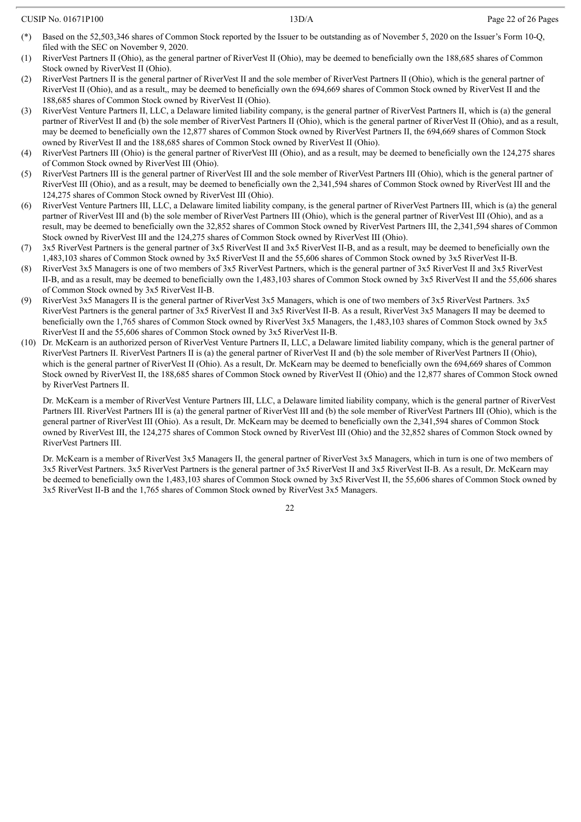- Based on the 52,503,346 shares of Common Stock reported by the Issuer to be outstanding as of November 5, 2020 on the Issuer's Form 10-Q, filed with the SEC on November 9, 2020.
- (1) RiverVest Partners II (Ohio), as the general partner of RiverVest II (Ohio), may be deemed to beneficially own the 188,685 shares of Common Stock owned by RiverVest II (Ohio).
- (2) RiverVest Partners II is the general partner of RiverVest II and the sole member of RiverVest Partners II (Ohio), which is the general partner of RiverVest II (Ohio), and as a result,, may be deemed to beneficially own the 694,669 shares of Common Stock owned by RiverVest II and the 188,685 shares of Common Stock owned by RiverVest II (Ohio).
- (3) RiverVest Venture Partners II, LLC, a Delaware limited liability company, is the general partner of RiverVest Partners II, which is (a) the general partner of RiverVest II and (b) the sole member of RiverVest Partners II (Ohio), which is the general partner of RiverVest II (Ohio), and as a result, may be deemed to beneficially own the 12,877 shares of Common Stock owned by RiverVest Partners II, the 694,669 shares of Common Stock owned by RiverVest II and the 188,685 shares of Common Stock owned by RiverVest II (Ohio).
- (4) RiverVest Partners III (Ohio) is the general partner of RiverVest III (Ohio), and as a result, may be deemed to beneficially own the 124,275 shares of Common Stock owned by RiverVest III (Ohio).
- (5) RiverVest Partners III is the general partner of RiverVest III and the sole member of RiverVest Partners III (Ohio), which is the general partner of RiverVest III (Ohio), and as a result, may be deemed to beneficially own the 2,341,594 shares of Common Stock owned by RiverVest III and the 124,275 shares of Common Stock owned by RiverVest III (Ohio).
- (6) RiverVest Venture Partners III, LLC, a Delaware limited liability company, is the general partner of RiverVest Partners III, which is (a) the general partner of RiverVest III and (b) the sole member of RiverVest Partners III (Ohio), which is the general partner of RiverVest III (Ohio), and as a result, may be deemed to beneficially own the 32,852 shares of Common Stock owned by RiverVest Partners III, the 2,341,594 shares of Common Stock owned by RiverVest III and the 124,275 shares of Common Stock owned by RiverVest III (Ohio).
- (7) 3x5 RiverVest Partners is the general partner of 3x5 RiverVest II and 3x5 RiverVest II-B, and as a result, may be deemed to beneficially own the 1,483,103 shares of Common Stock owned by 3x5 RiverVest II and the 55,606 shares of Common Stock owned by 3x5 RiverVest II-B.
- (8) RiverVest 3x5 Managers is one of two members of 3x5 RiverVest Partners, which is the general partner of 3x5 RiverVest II and 3x5 RiverVest II-B, and as a result, may be deemed to beneficially own the 1,483,103 shares of Common Stock owned by 3x5 RiverVest II and the 55,606 shares of Common Stock owned by 3x5 RiverVest II-B.
- (9) RiverVest 3x5 Managers II is the general partner of RiverVest 3x5 Managers, which is one of two members of 3x5 RiverVest Partners. 3x5 RiverVest Partners is the general partner of 3x5 RiverVest II and 3x5 RiverVest II-B. As a result, RiverVest 3x5 Managers II may be deemed to beneficially own the 1,765 shares of Common Stock owned by RiverVest 3x5 Managers, the 1,483,103 shares of Common Stock owned by 3x5 RiverVest II and the 55,606 shares of Common Stock owned by 3x5 RiverVest II-B.
- (10) Dr. McKearn is an authorized person of RiverVest Venture Partners II, LLC, a Delaware limited liability company, which is the general partner of RiverVest Partners II. RiverVest Partners II is (a) the general partner of RiverVest II and (b) the sole member of RiverVest Partners II (Ohio), which is the general partner of RiverVest II (Ohio). As a result, Dr. McKearn may be deemed to beneficially own the 694,669 shares of Common Stock owned by RiverVest II, the 188,685 shares of Common Stock owned by RiverVest II (Ohio) and the 12,877 shares of Common Stock owned by RiverVest Partners II.

Dr. McKearn is a member of RiverVest Venture Partners III, LLC, a Delaware limited liability company, which is the general partner of RiverVest Partners III. RiverVest Partners III is (a) the general partner of RiverVest III and (b) the sole member of RiverVest Partners III (Ohio), which is the general partner of RiverVest III (Ohio). As a result, Dr. McKearn may be deemed to beneficially own the 2,341,594 shares of Common Stock owned by RiverVest III, the 124,275 shares of Common Stock owned by RiverVest III (Ohio) and the 32,852 shares of Common Stock owned by RiverVest Partners III.

Dr. McKearn is a member of RiverVest 3x5 Managers II, the general partner of RiverVest 3x5 Managers, which in turn is one of two members of 3x5 RiverVest Partners. 3x5 RiverVest Partners is the general partner of 3x5 RiverVest II and 3x5 RiverVest II-B. As a result, Dr. McKearn may be deemed to beneficially own the 1,483,103 shares of Common Stock owned by 3x5 RiverVest II, the 55,606 shares of Common Stock owned by 3x5 RiverVest II-B and the 1,765 shares of Common Stock owned by RiverVest 3x5 Managers.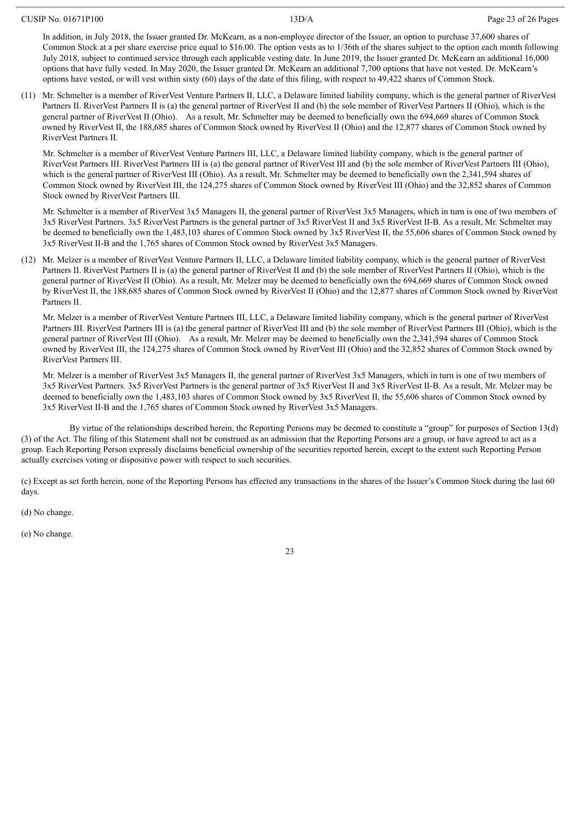In addition, in July 2018, the Issuer granted Dr. McKearn, as a non-employee director of the Issuer, an option to purchase 37,600 shares of Common Stock at a per share exercise price equal to \$16.00. The option vests as to 1/36th of the shares subject to the option each month following July 2018, subject to continued service through each applicable vesting date. In June 2019, the Issuer granted Dr. McKearn an additional 16,000 options that have fully vested. In May 2020, the Issuer granted Dr. McKearn an additional 7,700 options that have not vested. Dr. McKearn's options have vested, or will vest within sixty (60) days of the date of this filing, with respect to 49,422 shares of Common Stock.

(11) Mr. Schmelter is a member of RiverVest Venture Partners II, LLC, a Delaware limited liability company, which is the general partner of RiverVest Partners II. RiverVest Partners II is (a) the general partner of RiverVest II and (b) the sole member of RiverVest Partners II (Ohio), which is the general partner of RiverVest II (Ohio). As a result, Mr. Schmelter may be deemed to beneficially own the 694,669 shares of Common Stock owned by RiverVest II, the 188,685 shares of Common Stock owned by RiverVest II (Ohio) and the 12,877 shares of Common Stock owned by RiverVest Partners II.

Mr. Schmelter is a member of RiverVest Venture Partners III, LLC, a Delaware limited liability company, which is the general partner of RiverVest Partners III. RiverVest Partners III is (a) the general partner of RiverVest III and (b) the sole member of RiverVest Partners III (Ohio), which is the general partner of RiverVest III (Ohio). As a result, Mr. Schmelter may be deemed to beneficially own the 2,341,594 shares of Common Stock owned by RiverVest III, the 124,275 shares of Common Stock owned by RiverVest III (Ohio) and the 32,852 shares of Common Stock owned by RiverVest Partners III.

Mr. Schmelter is a member of RiverVest 3x5 Managers II, the general partner of RiverVest 3x5 Managers, which in turn is one of two members of 3x5 RiverVest Partners. 3x5 RiverVest Partners is the general partner of 3x5 RiverVest II and 3x5 RiverVest II-B. As a result, Mr. Schmelter may be deemed to beneficially own the 1,483,103 shares of Common Stock owned by 3x5 RiverVest II, the 55,606 shares of Common Stock owned by 3x5 RiverVest II-B and the 1,765 shares of Common Stock owned by RiverVest 3x5 Managers.

(12) Mr. Melzer is a member of RiverVest Venture Partners II, LLC, a Delaware limited liability company, which is the general partner of RiverVest Partners II. RiverVest Partners II is (a) the general partner of RiverVest II and (b) the sole member of RiverVest Partners II (Ohio), which is the general partner of RiverVest II (Ohio). As a result, Mr. Melzer may be deemed to beneficially own the 694,669 shares of Common Stock owned by RiverVest II, the 188,685 shares of Common Stock owned by RiverVest II (Ohio) and the 12,877 shares of Common Stock owned by RiverVest Partners II.

Mr. Melzer is a member of RiverVest Venture Partners III, LLC, a Delaware limited liability company, which is the general partner of RiverVest Partners III. RiverVest Partners III is (a) the general partner of RiverVest III and (b) the sole member of RiverVest Partners III (Ohio), which is the general partner of RiverVest III (Ohio). As a result, Mr. Melzer may be deemed to beneficially own the 2,341,594 shares of Common Stock owned by RiverVest III, the 124,275 shares of Common Stock owned by RiverVest III (Ohio) and the 32,852 shares of Common Stock owned by RiverVest Partners III.

Mr. Melzer is a member of RiverVest 3x5 Managers II, the general partner of RiverVest 3x5 Managers, which in turn is one of two members of 3x5 RiverVest Partners. 3x5 RiverVest Partners is the general partner of 3x5 RiverVest II and 3x5 RiverVest II-B. As a result, Mr. Melzer may be deemed to beneficially own the 1,483,103 shares of Common Stock owned by 3x5 RiverVest II, the 55,606 shares of Common Stock owned by 3x5 RiverVest II-B and the 1,765 shares of Common Stock owned by RiverVest 3x5 Managers.

By virtue of the relationships described herein, the Reporting Persons may be deemed to constitute a "group" for purposes of Section 13(d) (3) of the Act. The filing of this Statement shall not be construed as an admission that the Reporting Persons are a group, or have agreed to act as a group. Each Reporting Person expressly disclaims beneficial ownership of the securities reported herein, except to the extent such Reporting Person actually exercises voting or dispositive power with respect to such securities.

(c) Except as set forth herein, none of the Reporting Persons has effected any transactions in the shares of the Issuer's Common Stock during the last 60 days.

(d) No change.

(e) No change.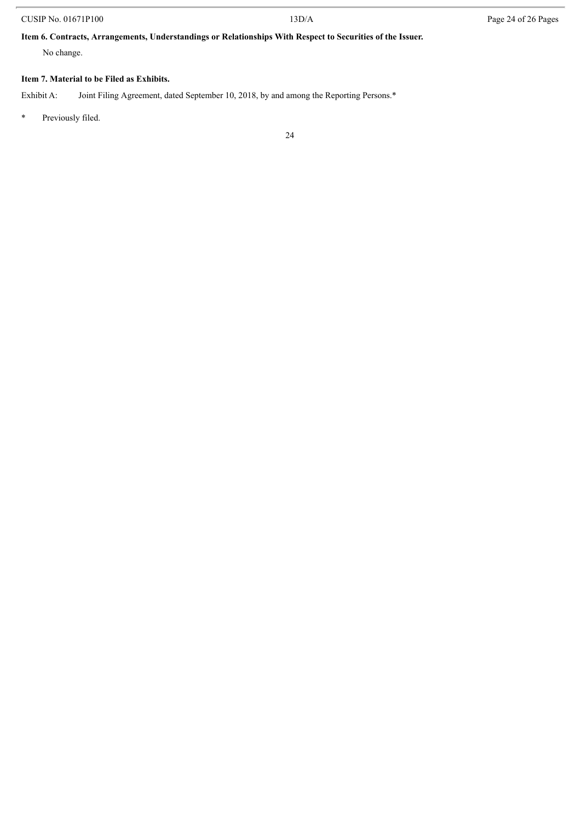# CUSIP No. 01671P100 13D/A Page 24 of 26 Pages

# **Item 6. Contracts, Arrangements, Understandings or Relationships With Respect to Securities of the Issuer.**

No change.

# **Item 7. Material to be Filed as Exhibits.**

Exhibit A: Joint Filing Agreement, dated September 10, 2018, by and among the Reporting Persons.\*

\* Previously filed.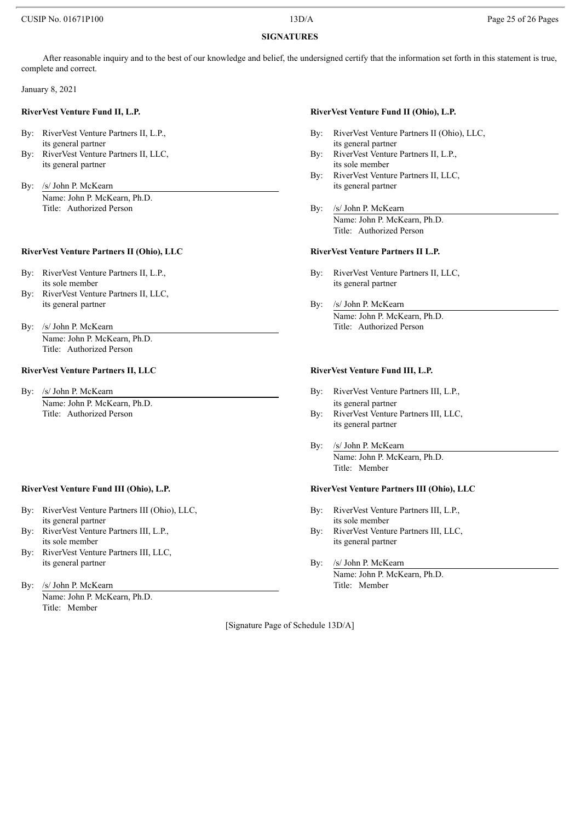# CUSIP No. 01671P100 25 of 26 Page 25 of 26 Pages

# **SIGNATURES**

After reasonable inquiry and to the best of our knowledge and belief, the undersigned certify that the information set forth in this statement is true, complete and correct.

January 8, 2021

- its general partner its general partner
- its general partner its sole member
- By: /s/ John P. McKearn its general partner its general partner Name: John P. McKearn, Ph.D. Title: Authorized Person By: /s/ John P. McKearn

### **RiverVest Venture Partners II (Ohio), LLC RiverVest Venture Partners II L.P.**

- its sole member its general partner
- By: RiverVest Venture Partners II, LLC, its general partner By: /s/ John P. McKearn
- By: /s/ John P. McKearn Title: Authorized Person Name: John P. McKearn, Ph.D. Title: Authorized Person

### **RiverVest Venture Partners II, LLC RiverVest Venture Fund III, L.P.**

Name: John P. McKearn, Ph.D. its general partner

- By: RiverVest Venture Partners III (Ohio), LLC, By: RiverVest Venture Partners III, L.P., its general partner its sole member
- its sole member its general partner
- By: RiverVest Venture Partners III, LLC, its general partner By: /s/ John P. McKearn
- By: /s/ John P. McKearn

Name: John P. McKearn, Ph.D. Title: Member

### **RiverVest Venture Fund II, L.P. RiverVest Venture Fund II (Ohio), L.P.**

- By: RiverVest Venture Partners II, L.P., By: RiverVest Venture Partners II (Ohio), LLC,
- By: RiverVest Venture Partners II, LLC, By: RiverVest Venture Partners II, L.P.,
	- By: RiverVest Venture Partners II, LLC,
	- Name: John P. McKearn, Ph.D. Title: Authorized Person

- By: RiverVest Venture Partners II, L.P., By: RiverVest Venture Partners II, L.C.
	- Name: John P. McKearn, Ph.D.

- By: /s/ John P. McKearn **By: Property Partners III, L.P.**,
	- Title: Authorized Person **By:** RiverVest Venture Partners III, LLC, its general partner
		- By: /s/ John P. McKearn Name: John P. McKearn, Ph.D. Title: Member

# **RiverVest Venture Fund III (Ohio), L.P. RiverVest Venture Partners III (Ohio), LLC**

- 
- By: RiverVest Venture Partners III, L.P., By: RiverVest Venture Partners III, L.C.
	- Name: John P. McKearn, Ph.D.<br>Title: Member

[Signature Page of Schedule 13D/A]